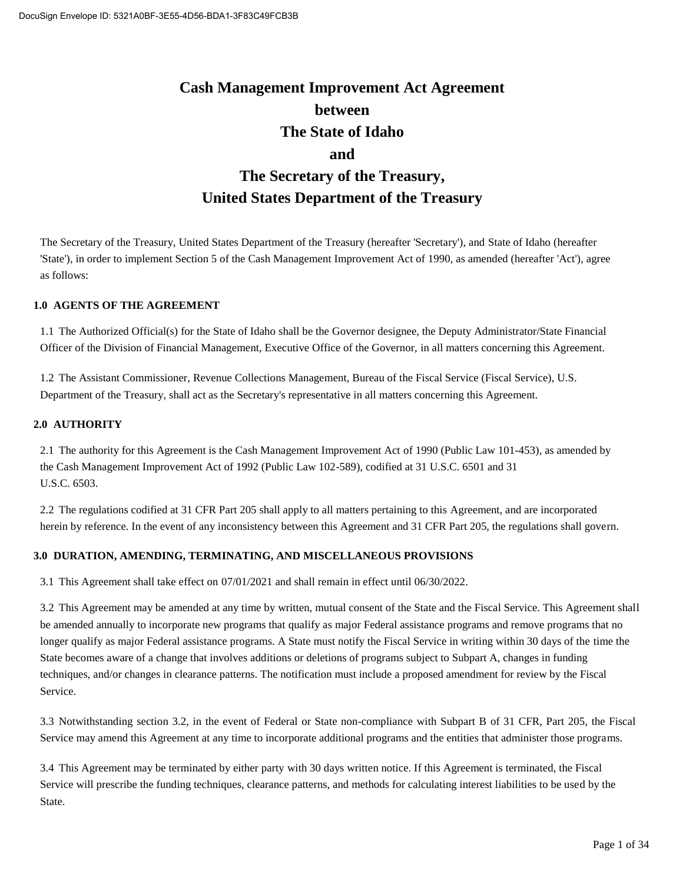# **Cash Management Improvement Act Agreement between The State of Idaho and The Secretary of the Treasury, United States Department of the Treasury**

The Secretary of the Treasury, United States Department of the Treasury (hereafter 'Secretary'), and State of Idaho (hereafter 'State'), in order to implement Section 5 of the Cash Management Improvement Act of 1990, as amended (hereafter 'Act'), agree as follows:

#### **1.0 AGENTS OF THE AGREEMENT**

1.1 The Authorized Official(s) for the State of Idaho shall be the Governor designee, the Deputy Administrator/State Financial Officer of the Division of Financial Management, Executive Office of the Governor, in all matters concerning this Agreement.

1.2 The Assistant Commissioner, Revenue Collections Management, Bureau of the Fiscal Service (Fiscal Service), U.S. Department of the Treasury, shall act as the Secretary's representative in all matters concerning this Agreement.

#### **2.0 AUTHORITY**

2.1 The authority for this Agreement is the Cash Management Improvement Act of 1990 (Public Law 101-453), as amended by the Cash Management Improvement Act of 1992 (Public Law 102-589), codified at 31 U.S.C. 6501 and 31 U.S.C. 6503.

2.2 The regulations codified at 31 CFR Part 205 shall apply to all matters pertaining to this Agreement, and are incorporated herein by reference. In the event of any inconsistency between this Agreement and 31 CFR Part 205, the regulations shall govern.

#### **3.0 DURATION, AMENDING, TERMINATING, AND MISCELLANEOUS PROVISIONS**

3.1 This Agreement shall take effect on 07/01/2021 and shall remain in effect until 06/30/2022.

3.2 This Agreement may be amended at any time by written, mutual consent of the State and the Fiscal Service. This Agreement shall be amended annually to incorporate new programs that qualify as major Federal assistance programs and remove programs that no longer qualify as major Federal assistance programs. A State must notify the Fiscal Service in writing within 30 days of the time the State becomes aware of a change that involves additions or deletions of programs subject to Subpart A, changes in funding techniques, and/or changes in clearance patterns. The notification must include a proposed amendment for review by the Fiscal Service.

3.3 Notwithstanding section 3.2, in the event of Federal or State non-compliance with Subpart B of 31 CFR, Part 205, the Fiscal Service may amend this Agreement at any time to incorporate additional programs and the entities that administer those programs.

3.4 This Agreement may be terminated by either party with 30 days written notice. If this Agreement is terminated, the Fiscal Service will prescribe the funding techniques, clearance patterns, and methods for calculating interest liabilities to be used by the State.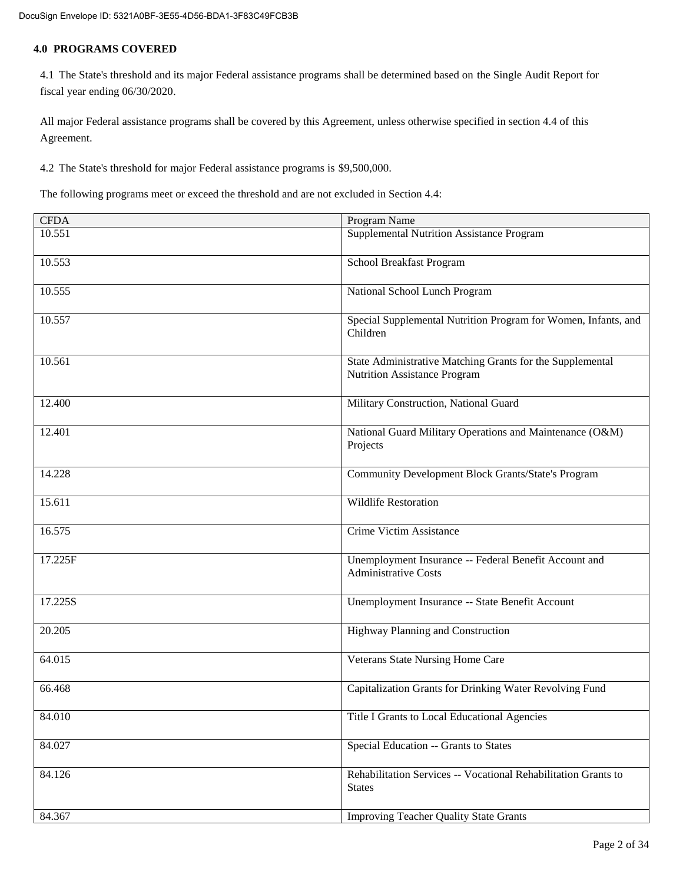#### **4.0 PROGRAMS COVERED**

4.1 The State's threshold and its major Federal assistance programs shall be determined based on the Single Audit Report for fiscal year ending 06/30/2020.

All major Federal assistance programs shall be covered by this Agreement, unless otherwise specified in section 4.4 of this Agreement.

4.2 The State's threshold for major Federal assistance programs is \$9,500,000.

The following programs meet or exceed the threshold and are not excluded in Section 4.4:

| <b>CFDA</b> | Program Name                                                                              |  |  |
|-------------|-------------------------------------------------------------------------------------------|--|--|
| 10.551      | Supplemental Nutrition Assistance Program                                                 |  |  |
| 10.553      | School Breakfast Program                                                                  |  |  |
| 10.555      | National School Lunch Program                                                             |  |  |
| 10.557      | Special Supplemental Nutrition Program for Women, Infants, and<br>Children                |  |  |
| 10.561      | State Administrative Matching Grants for the Supplemental<br>Nutrition Assistance Program |  |  |
| 12.400      | Military Construction, National Guard                                                     |  |  |
| 12.401      | National Guard Military Operations and Maintenance (O&M)<br>Projects                      |  |  |
| 14.228      | <b>Community Development Block Grants/State's Program</b>                                 |  |  |
| 15.611      | <b>Wildlife Restoration</b>                                                               |  |  |
| 16.575      | Crime Victim Assistance                                                                   |  |  |
| 17.225F     | Unemployment Insurance -- Federal Benefit Account and<br><b>Administrative Costs</b>      |  |  |
| 17.225S     | Unemployment Insurance -- State Benefit Account                                           |  |  |
| 20.205      | Highway Planning and Construction                                                         |  |  |
| 64.015      | Veterans State Nursing Home Care                                                          |  |  |
| 66.468      | Capitalization Grants for Drinking Water Revolving Fund                                   |  |  |
| 84.010      | Title I Grants to Local Educational Agencies                                              |  |  |
| 84.027      | Special Education -- Grants to States                                                     |  |  |
| 84.126      | Rehabilitation Services -- Vocational Rehabilitation Grants to<br><b>States</b>           |  |  |
| 84.367      | <b>Improving Teacher Quality State Grants</b>                                             |  |  |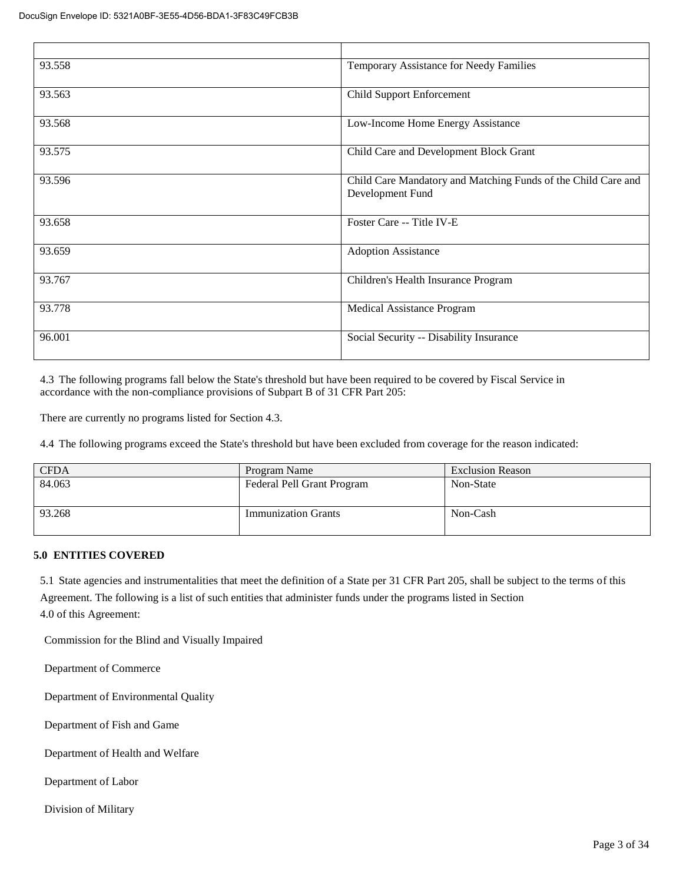| 93.558 | Temporary Assistance for Needy Families                                           |
|--------|-----------------------------------------------------------------------------------|
| 93.563 | <b>Child Support Enforcement</b>                                                  |
| 93.568 | Low-Income Home Energy Assistance                                                 |
| 93.575 | Child Care and Development Block Grant                                            |
| 93.596 | Child Care Mandatory and Matching Funds of the Child Care and<br>Development Fund |
| 93.658 | Foster Care -- Title IV-E                                                         |
| 93.659 | <b>Adoption Assistance</b>                                                        |
| 93.767 | Children's Health Insurance Program                                               |
| 93.778 | Medical Assistance Program                                                        |
| 96.001 | Social Security -- Disability Insurance                                           |

4.3 The following programs fall below the State's threshold but have been required to be covered by Fiscal Service in accordance with the non-compliance provisions of Subpart B of 31 CFR Part 205:

There are currently no programs listed for Section 4.3.

4.4 The following programs exceed the State's threshold but have been excluded from coverage for the reason indicated:

| <b>CFDA</b> | Program Name               | <b>Exclusion Reason</b> |
|-------------|----------------------------|-------------------------|
| 84.063      | Federal Pell Grant Program | Non-State               |
| 93.268      | <b>Immunization Grants</b> | Non-Cash                |

#### **5.0 ENTITIES COVERED**

5.1 State agencies and instrumentalities that meet the definition of a State per 31 CFR Part 205, shall be subject to the terms of this Agreement. The following is a list of such entities that administer funds under the programs listed in Section 4.0 of this Agreement:

Commission for the Blind and Visually Impaired

Department of Commerce

Department of Environmental Quality

Department of Fish and Game

Department of Health and Welfare

Department of Labor

Division of Military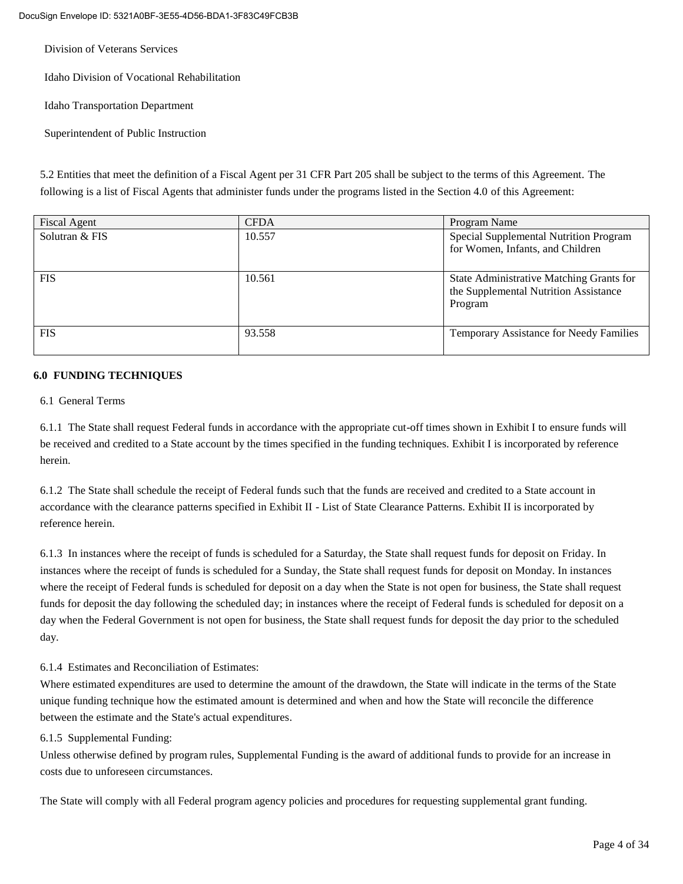Division of Veterans Services

Idaho Division of Vocational Rehabilitation

Idaho Transportation Department

Superintendent of Public Instruction

5.2 Entities that meet the definition of a Fiscal Agent per 31 CFR Part 205 shall be subject to the terms of this Agreement. The following is a list of Fiscal Agents that administer funds under the programs listed in the Section 4.0 of this Agreement:

| <b>Fiscal Agent</b> | <b>CFDA</b> | Program Name                                                                                 |  |
|---------------------|-------------|----------------------------------------------------------------------------------------------|--|
| Solutran & FIS      | 10.557      | Special Supplemental Nutrition Program<br>for Women, Infants, and Children                   |  |
| <b>FIS</b>          | 10.561      | State Administrative Matching Grants for<br>the Supplemental Nutrition Assistance<br>Program |  |
| <b>FIS</b>          | 93.558      | Temporary Assistance for Needy Families                                                      |  |

#### **6.0 FUNDING TECHNIQUES**

#### 6.1 General Terms

6.1.1 The State shall request Federal funds in accordance with the appropriate cut-off times shown in Exhibit I to ensure funds will be received and credited to a State account by the times specified in the funding techniques. Exhibit I is incorporated by reference herein.

6.1.2 The State shall schedule the receipt of Federal funds such that the funds are received and credited to a State account in accordance with the clearance patterns specified in Exhibit II - List of State Clearance Patterns. Exhibit II is incorporated by reference herein.

6.1.3 In instances where the receipt of funds is scheduled for a Saturday, the State shall request funds for deposit on Friday. In instances where the receipt of funds is scheduled for a Sunday, the State shall request funds for deposit on Monday. In instances where the receipt of Federal funds is scheduled for deposit on a day when the State is not open for business, the State shall request funds for deposit the day following the scheduled day; in instances where the receipt of Federal funds is scheduled for deposit on a day when the Federal Government is not open for business, the State shall request funds for deposit the day prior to the scheduled day.

#### 6.1.4 Estimates and Reconciliation of Estimates:

Where estimated expenditures are used to determine the amount of the drawdown, the State will indicate in the terms of the State unique funding technique how the estimated amount is determined and when and how the State will reconcile the difference between the estimate and the State's actual expenditures.

#### 6.1.5 Supplemental Funding:

Unless otherwise defined by program rules, Supplemental Funding is the award of additional funds to provide for an increase in costs due to unforeseen circumstances.

The State will comply with all Federal program agency policies and procedures for requesting supplemental grant funding.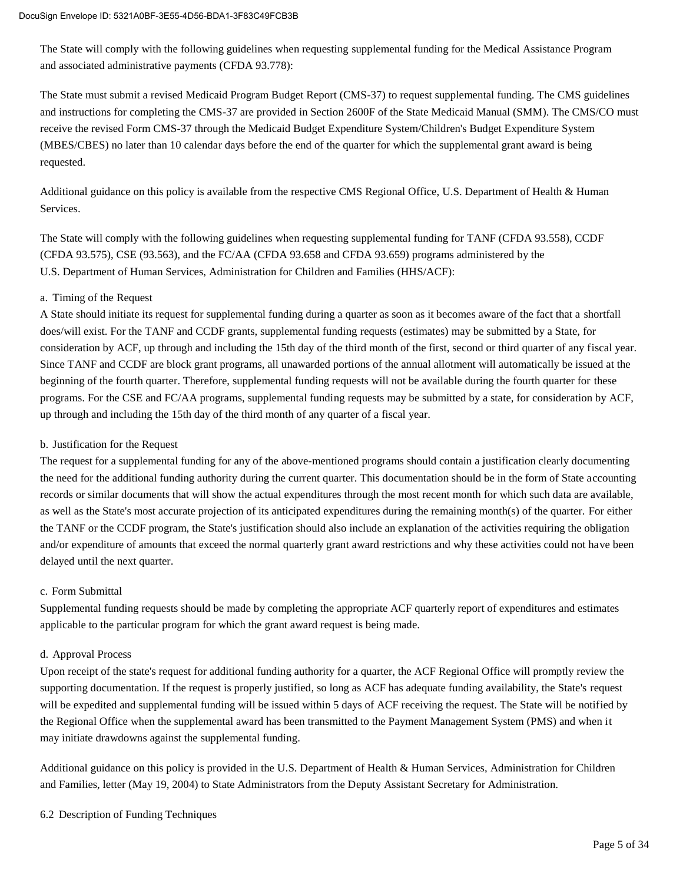The State will comply with the following guidelines when requesting supplemental funding for the Medical Assistance Program and associated administrative payments (CFDA 93.778):

The State must submit a revised Medicaid Program Budget Report (CMS-37) to request supplemental funding. The CMS guidelines and instructions for completing the CMS-37 are provided in Section 2600F of the State Medicaid Manual (SMM). The CMS/CO must receive the revised Form CMS-37 through the Medicaid Budget Expenditure System/Children's Budget Expenditure System (MBES/CBES) no later than 10 calendar days before the end of the quarter for which the supplemental grant award is being requested.

Additional guidance on this policy is available from the respective CMS Regional Office, U.S. Department of Health & Human Services.

The State will comply with the following guidelines when requesting supplemental funding for TANF (CFDA 93.558), CCDF (CFDA 93.575), CSE (93.563), and the FC/AA (CFDA 93.658 and CFDA 93.659) programs administered by the U.S. Department of Human Services, Administration for Children and Families (HHS/ACF):

#### a. Timing of the Request

A State should initiate its request for supplemental funding during a quarter as soon as it becomes aware of the fact that a shortfall does/will exist. For the TANF and CCDF grants, supplemental funding requests (estimates) may be submitted by a State, for consideration by ACF, up through and including the 15th day of the third month of the first, second or third quarter of any fiscal year. Since TANF and CCDF are block grant programs, all unawarded portions of the annual allotment will automatically be issued at the beginning of the fourth quarter. Therefore, supplemental funding requests will not be available during the fourth quarter for these programs. For the CSE and FC/AA programs, supplemental funding requests may be submitted by a state, for consideration by ACF, up through and including the 15th day of the third month of any quarter of a fiscal year.

#### b. Justification for the Request

The request for a supplemental funding for any of the above-mentioned programs should contain a justification clearly documenting the need for the additional funding authority during the current quarter. This documentation should be in the form of State accounting records or similar documents that will show the actual expenditures through the most recent month for which such data are available, as well as the State's most accurate projection of its anticipated expenditures during the remaining month(s) of the quarter. For either the TANF or the CCDF program, the State's justification should also include an explanation of the activities requiring the obligation and/or expenditure of amounts that exceed the normal quarterly grant award restrictions and why these activities could not have been delayed until the next quarter.

#### c. Form Submittal

Supplemental funding requests should be made by completing the appropriate ACF quarterly report of expenditures and estimates applicable to the particular program for which the grant award request is being made.

#### d. Approval Process

Upon receipt of the state's request for additional funding authority for a quarter, the ACF Regional Office will promptly review the supporting documentation. If the request is properly justified, so long as ACF has adequate funding availability, the State's request will be expedited and supplemental funding will be issued within 5 days of ACF receiving the request. The State will be notified by the Regional Office when the supplemental award has been transmitted to the Payment Management System (PMS) and when it may initiate drawdowns against the supplemental funding.

Additional guidance on this policy is provided in the U.S. Department of Health & Human Services, Administration for Children and Families, letter (May 19, 2004) to State Administrators from the Deputy Assistant Secretary for Administration.

#### 6.2 Description of Funding Techniques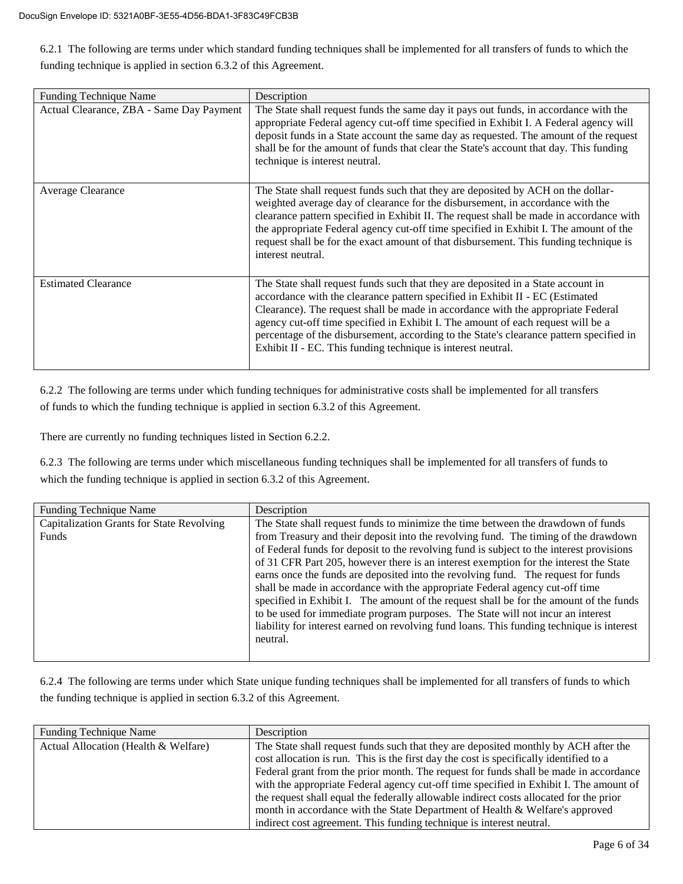6.2.1 The following are terms under which standard funding techniques shall be implemented for all transfers of funds to which the funding technique is applied in section 6.3.2 of this Agreement.

| <b>Funding Technique Name</b>            | Description                                                                                                                                                                                                                                                                                                                                                                                                                                                                                          |
|------------------------------------------|------------------------------------------------------------------------------------------------------------------------------------------------------------------------------------------------------------------------------------------------------------------------------------------------------------------------------------------------------------------------------------------------------------------------------------------------------------------------------------------------------|
| Actual Clearance, ZBA - Same Day Payment | The State shall request funds the same day it pays out funds, in accordance with the<br>appropriate Federal agency cut-off time specified in Exhibit I. A Federal agency will<br>deposit funds in a State account the same day as requested. The amount of the request<br>shall be for the amount of funds that clear the State's account that day. This funding<br>technique is interest neutral.                                                                                                   |
| Average Clearance                        | The State shall request funds such that they are deposited by ACH on the dollar-<br>weighted average day of clearance for the disbursement, in accordance with the<br>clearance pattern specified in Exhibit II. The request shall be made in accordance with<br>the appropriate Federal agency cut-off time specified in Exhibit I. The amount of the<br>request shall be for the exact amount of that disbursement. This funding technique is<br>interest neutral.                                 |
| <b>Estimated Clearance</b>               | The State shall request funds such that they are deposited in a State account in<br>accordance with the clearance pattern specified in Exhibit II - EC (Estimated<br>Clearance). The request shall be made in accordance with the appropriate Federal<br>agency cut-off time specified in Exhibit I. The amount of each request will be a<br>percentage of the disbursement, according to the State's clearance pattern specified in<br>Exhibit II - EC. This funding technique is interest neutral. |

6.2.2 The following are terms under which funding techniques for administrative costs shall be implemented for all transfers of funds to which the funding technique is applied in section 6.3.2 of this Agreement.

There are currently no funding techniques listed in Section 6.2.2.

6.2.3 The following are terms under which miscellaneous funding techniques shall be implemented for all transfers of funds to which the funding technique is applied in section 6.3.2 of this Agreement.

| <b>Funding Technique Name</b>                      | Description                                                                                                                                                                                                                                                                                                                                                                                                                                                                                                                                                                                                                                                                                                                                                                                                             |
|----------------------------------------------------|-------------------------------------------------------------------------------------------------------------------------------------------------------------------------------------------------------------------------------------------------------------------------------------------------------------------------------------------------------------------------------------------------------------------------------------------------------------------------------------------------------------------------------------------------------------------------------------------------------------------------------------------------------------------------------------------------------------------------------------------------------------------------------------------------------------------------|
| Capitalization Grants for State Revolving<br>Funds | The State shall request funds to minimize the time between the drawdown of funds<br>from Treasury and their deposit into the revolving fund. The timing of the drawdown<br>of Federal funds for deposit to the revolving fund is subject to the interest provisions<br>of 31 CFR Part 205, however there is an interest exemption for the interest the State<br>earns once the funds are deposited into the revolving fund. The request for funds<br>shall be made in accordance with the appropriate Federal agency cut-off time<br>specified in Exhibit I. The amount of the request shall be for the amount of the funds<br>to be used for immediate program purposes. The State will not incur an interest<br>liability for interest earned on revolving fund loans. This funding technique is interest<br>neutral. |

6.2.4 The following are terms under which State unique funding techniques shall be implemented for all transfers of funds to which the funding technique is applied in section 6.3.2 of this Agreement.

| <b>Funding Technique Name</b>        | Description                                                                            |  |  |
|--------------------------------------|----------------------------------------------------------------------------------------|--|--|
| Actual Allocation (Health & Welfare) | The State shall request funds such that they are deposited monthly by ACH after the    |  |  |
|                                      | cost allocation is run. This is the first day the cost is specifically identified to a |  |  |
|                                      | Federal grant from the prior month. The request for funds shall be made in accordance  |  |  |
|                                      | with the appropriate Federal agency cut-off time specified in Exhibit I. The amount of |  |  |
|                                      | the request shall equal the federally allowable indirect costs allocated for the prior |  |  |
|                                      | month in accordance with the State Department of Health & Welfare's approved           |  |  |
|                                      | indirect cost agreement. This funding technique is interest neutral.                   |  |  |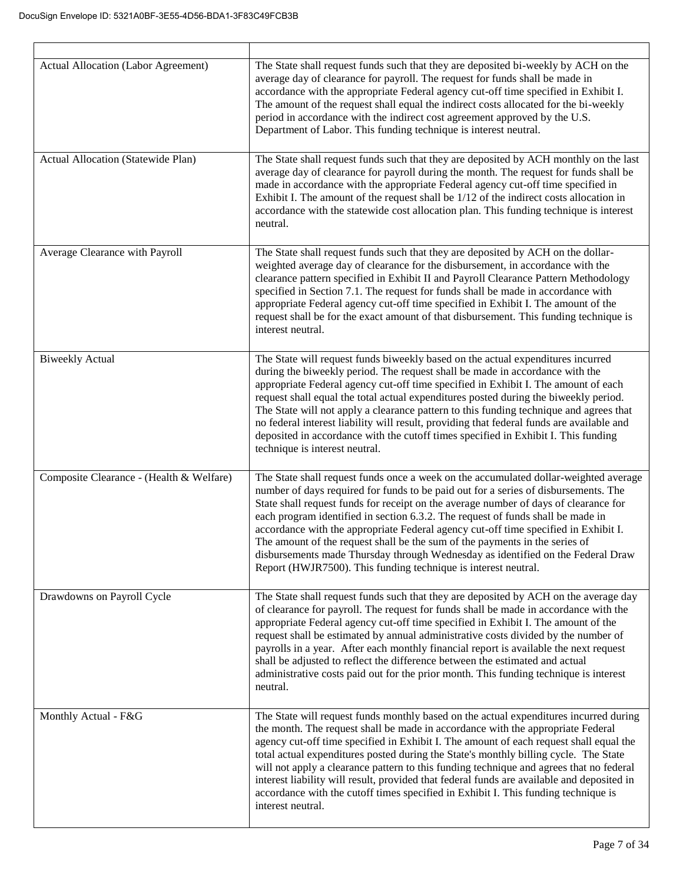Г

| <b>Actual Allocation (Labor Agreement)</b> | The State shall request funds such that they are deposited bi-weekly by ACH on the<br>average day of clearance for payroll. The request for funds shall be made in<br>accordance with the appropriate Federal agency cut-off time specified in Exhibit I.<br>The amount of the request shall equal the indirect costs allocated for the bi-weekly<br>period in accordance with the indirect cost agreement approved by the U.S.<br>Department of Labor. This funding technique is interest neutral.                                                                                                                                                                               |
|--------------------------------------------|-----------------------------------------------------------------------------------------------------------------------------------------------------------------------------------------------------------------------------------------------------------------------------------------------------------------------------------------------------------------------------------------------------------------------------------------------------------------------------------------------------------------------------------------------------------------------------------------------------------------------------------------------------------------------------------|
| Actual Allocation (Statewide Plan)         | The State shall request funds such that they are deposited by ACH monthly on the last<br>average day of clearance for payroll during the month. The request for funds shall be<br>made in accordance with the appropriate Federal agency cut-off time specified in<br>Exhibit I. The amount of the request shall be 1/12 of the indirect costs allocation in<br>accordance with the statewide cost allocation plan. This funding technique is interest<br>neutral.                                                                                                                                                                                                                |
| Average Clearance with Payroll             | The State shall request funds such that they are deposited by ACH on the dollar-<br>weighted average day of clearance for the disbursement, in accordance with the<br>clearance pattern specified in Exhibit II and Payroll Clearance Pattern Methodology<br>specified in Section 7.1. The request for funds shall be made in accordance with<br>appropriate Federal agency cut-off time specified in Exhibit I. The amount of the<br>request shall be for the exact amount of that disbursement. This funding technique is<br>interest neutral.                                                                                                                                  |
| <b>Biweekly Actual</b>                     | The State will request funds biweekly based on the actual expenditures incurred<br>during the biweekly period. The request shall be made in accordance with the<br>appropriate Federal agency cut-off time specified in Exhibit I. The amount of each<br>request shall equal the total actual expenditures posted during the biweekly period.<br>The State will not apply a clearance pattern to this funding technique and agrees that<br>no federal interest liability will result, providing that federal funds are available and<br>deposited in accordance with the cutoff times specified in Exhibit I. This funding<br>technique is interest neutral.                      |
| Composite Clearance - (Health & Welfare)   | The State shall request funds once a week on the accumulated dollar-weighted average<br>number of days required for funds to be paid out for a series of disbursements. The<br>State shall request funds for receipt on the average number of days of clearance for<br>each program identified in section 6.3.2. The request of funds shall be made in<br>accordance with the appropriate Federal agency cut-off time specified in Exhibit I.<br>The amount of the request shall be the sum of the payments in the series of<br>disbursements made Thursday through Wednesday as identified on the Federal Draw<br>Report (HWJR7500). This funding technique is interest neutral. |
| Drawdowns on Payroll Cycle                 | The State shall request funds such that they are deposited by ACH on the average day<br>of clearance for payroll. The request for funds shall be made in accordance with the<br>appropriate Federal agency cut-off time specified in Exhibit I. The amount of the<br>request shall be estimated by annual administrative costs divided by the number of<br>payrolls in a year. After each monthly financial report is available the next request<br>shall be adjusted to reflect the difference between the estimated and actual<br>administrative costs paid out for the prior month. This funding technique is interest<br>neutral.                                             |
| Monthly Actual - F&G                       | The State will request funds monthly based on the actual expenditures incurred during<br>the month. The request shall be made in accordance with the appropriate Federal<br>agency cut-off time specified in Exhibit I. The amount of each request shall equal the<br>total actual expenditures posted during the State's monthly billing cycle. The State<br>will not apply a clearance pattern to this funding technique and agrees that no federal<br>interest liability will result, provided that federal funds are available and deposited in<br>accordance with the cutoff times specified in Exhibit I. This funding technique is<br>interest neutral.                    |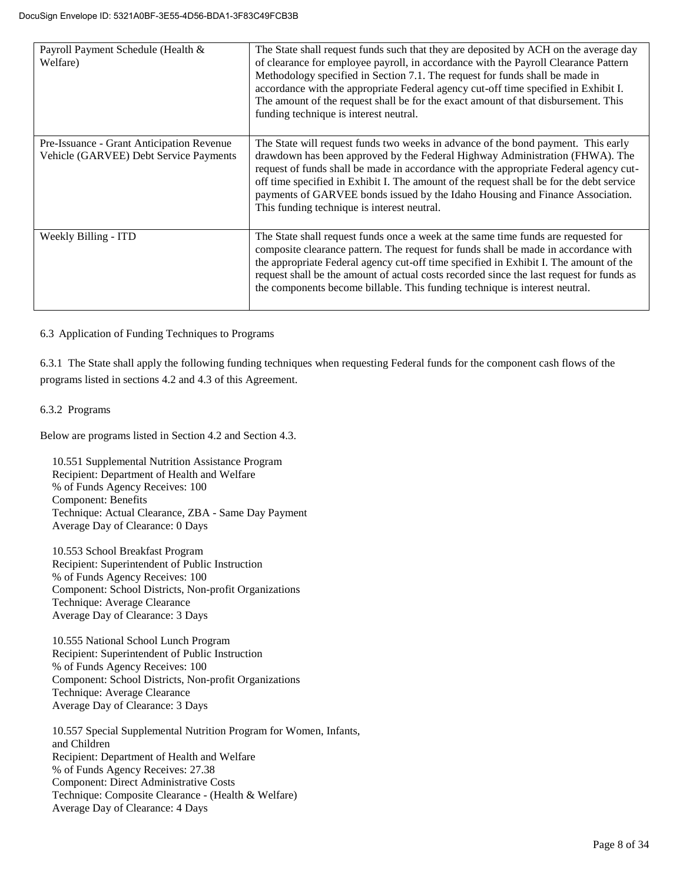| Payroll Payment Schedule (Health &<br>Welfare)                                      | The State shall request funds such that they are deposited by ACH on the average day<br>of clearance for employee payroll, in accordance with the Payroll Clearance Pattern<br>Methodology specified in Section 7.1. The request for funds shall be made in<br>accordance with the appropriate Federal agency cut-off time specified in Exhibit I.<br>The amount of the request shall be for the exact amount of that disbursement. This<br>funding technique is interest neutral.     |
|-------------------------------------------------------------------------------------|----------------------------------------------------------------------------------------------------------------------------------------------------------------------------------------------------------------------------------------------------------------------------------------------------------------------------------------------------------------------------------------------------------------------------------------------------------------------------------------|
| Pre-Issuance - Grant Anticipation Revenue<br>Vehicle (GARVEE) Debt Service Payments | The State will request funds two weeks in advance of the bond payment. This early<br>drawdown has been approved by the Federal Highway Administration (FHWA). The<br>request of funds shall be made in accordance with the appropriate Federal agency cut-<br>off time specified in Exhibit I. The amount of the request shall be for the debt service<br>payments of GARVEE bonds issued by the Idaho Housing and Finance Association.<br>This funding technique is interest neutral. |
| Weekly Billing - ITD                                                                | The State shall request funds once a week at the same time funds are requested for<br>composite clearance pattern. The request for funds shall be made in accordance with<br>the appropriate Federal agency cut-off time specified in Exhibit I. The amount of the<br>request shall be the amount of actual costs recorded since the last request for funds as<br>the components become billable. This funding technique is interest neutral.                                          |

6.3 Application of Funding Techniques to Programs

6.3.1 The State shall apply the following funding techniques when requesting Federal funds for the component cash flows of the programs listed in sections 4.2 and 4.3 of this Agreement.

6.3.2 Programs

Below are programs listed in Section 4.2 and Section 4.3.

10.551 Supplemental Nutrition Assistance Program Recipient: Department of Health and Welfare % of Funds Agency Receives: 100 Component: Benefits Technique: Actual Clearance, ZBA - Same Day Payment Average Day of Clearance: 0 Days

10.553 School Breakfast Program Recipient: Superintendent of Public Instruction % of Funds Agency Receives: 100 Component: School Districts, Non-profit Organizations Technique: Average Clearance Average Day of Clearance: 3 Days

10.555 National School Lunch Program Recipient: Superintendent of Public Instruction % of Funds Agency Receives: 100 Component: School Districts, Non-profit Organizations Technique: Average Clearance Average Day of Clearance: 3 Days

10.557 Special Supplemental Nutrition Program for Women, Infants, and Children Recipient: Department of Health and Welfare % of Funds Agency Receives: 27.38 Component: Direct Administrative Costs Technique: Composite Clearance - (Health & Welfare) Average Day of Clearance: 4 Days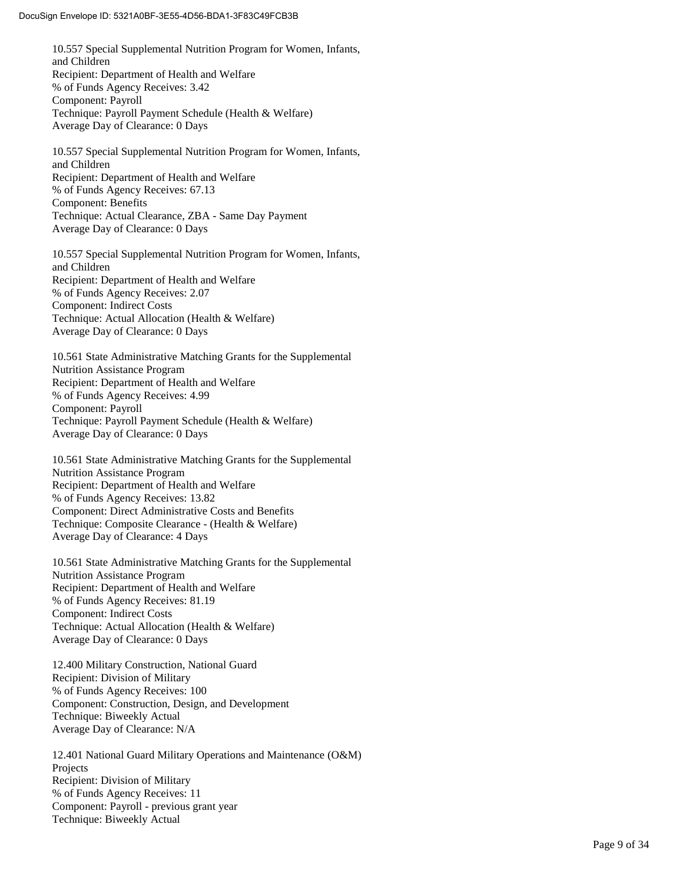10.557 Special Supplemental Nutrition Program for Women, Infants, and Children Recipient: Department of Health and Welfare % of Funds Agency Receives: 3.42 Component: Payroll Technique: Payroll Payment Schedule (Health & Welfare) Average Day of Clearance: 0 Days

10.557 Special Supplemental Nutrition Program for Women, Infants, and Children Recipient: Department of Health and Welfare % of Funds Agency Receives: 67.13 Component: Benefits Technique: Actual Clearance, ZBA - Same Day Payment Average Day of Clearance: 0 Days

10.557 Special Supplemental Nutrition Program for Women, Infants, and Children Recipient: Department of Health and Welfare % of Funds Agency Receives: 2.07 Component: Indirect Costs Technique: Actual Allocation (Health & Welfare) Average Day of Clearance: 0 Days

10.561 State Administrative Matching Grants for the Supplemental Nutrition Assistance Program Recipient: Department of Health and Welfare % of Funds Agency Receives: 4.99 Component: Payroll Technique: Payroll Payment Schedule (Health & Welfare) Average Day of Clearance: 0 Days

10.561 State Administrative Matching Grants for the Supplemental Nutrition Assistance Program Recipient: Department of Health and Welfare % of Funds Agency Receives: 13.82 Component: Direct Administrative Costs and Benefits Technique: Composite Clearance - (Health & Welfare) Average Day of Clearance: 4 Days

10.561 State Administrative Matching Grants for the Supplemental Nutrition Assistance Progra m Recipient: Department of Health and Welfare % of Funds Agency Receives: 81.19 Component: Indirect Costs Technique: Actual Allocation (Health & Welfare) Average Day of Clearance: 0 Days

12.400 Military Construction, National Guard Recipient: Division of Military % of Funds Agency Receives: 100 Component: Construction, Design, and Development Technique: Biweekly Actual Average Day of Clearance: N/A

12.401 National Guard Military Operations and Maintenance (O&M) Projects Recipient: Division of Military % of Funds Agency Receives: 11 Component: Payroll - previous grant year Technique: Biweekly Actual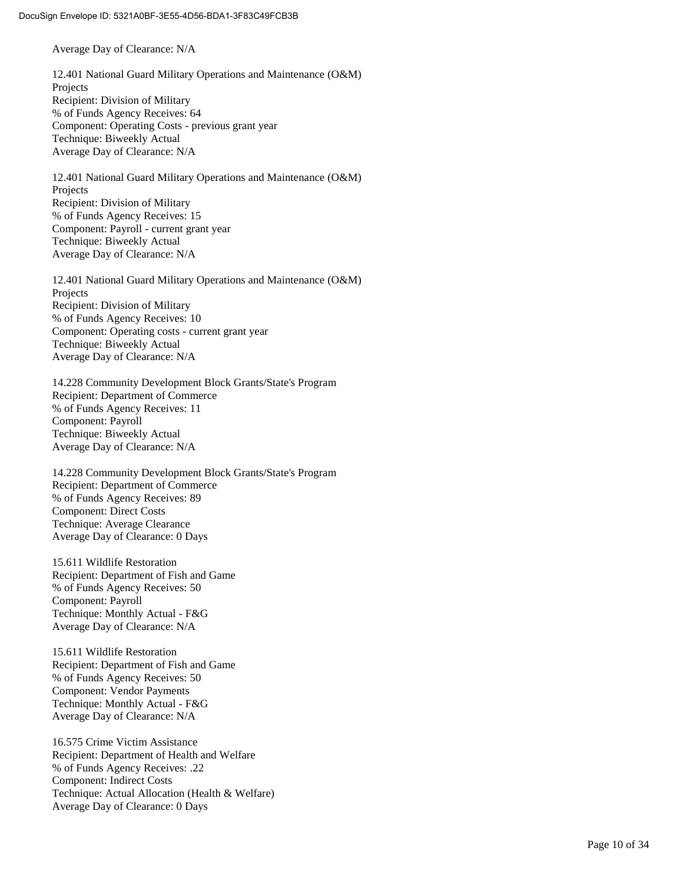Average Day of Clearance: N/A

12.401 National Guard Military Operations and Maintenance (O&M) Projects Recipient: Division of Military % of Funds Agency Receives: 64 Component: Operating Costs - previous grant year Technique: Biweekly Actual Average Day of Clearance: N/A

12.401 National Guard Military Operations and Maintenance (O&M) Projects Recipient: Division of Military % of Funds Agency Receives: 15 Component: Payroll - current grant year Technique: Biweekly Actual Average Day of Clearance: N/A

12.401 National Guard Military Operations and Maintenance (O&M) Projects Recipient: Division of Military % of Funds Agency Receives: 10 Component: Operating costs - current grant year Technique: Biweekly Actual Average Day of Clearance: N/A

14.228 Community Development Block Grants/State's Program Recipient: Department of Commerce % of Funds Agency Receives: 11 Component: Payroll Technique: Biweekly Actual Average Day of Clearance: N/A

14.228 Community Development Block Grants/State's Program Recipient: Department of Commerce % of Funds Agency Receives: 89 Component: Direct Costs Technique: Average Clearance Average Day of Clearance: 0 Days

15.611 Wildlife Restoration Recipient: Department of Fish and Game % of Funds Agency Receives: 50 Component: Payroll Technique: Monthly Actual - F&G Average Day of Clearance: N/A

15.611 Wildlife Restoration Recipient: Department of Fish and Game % of Funds Agency Receives: 50 Component: Vendor Payments Technique: Monthly Actual - F&G Average Day of Clearance: N/A

16.575 Crime Victim Assistance Recipient: Department of Health and Welfare % of Funds Agency Receives: .22 Component: Indirect Costs Technique: Actual Allocation (Health & Welfare) Average Day of Clearance: 0 Days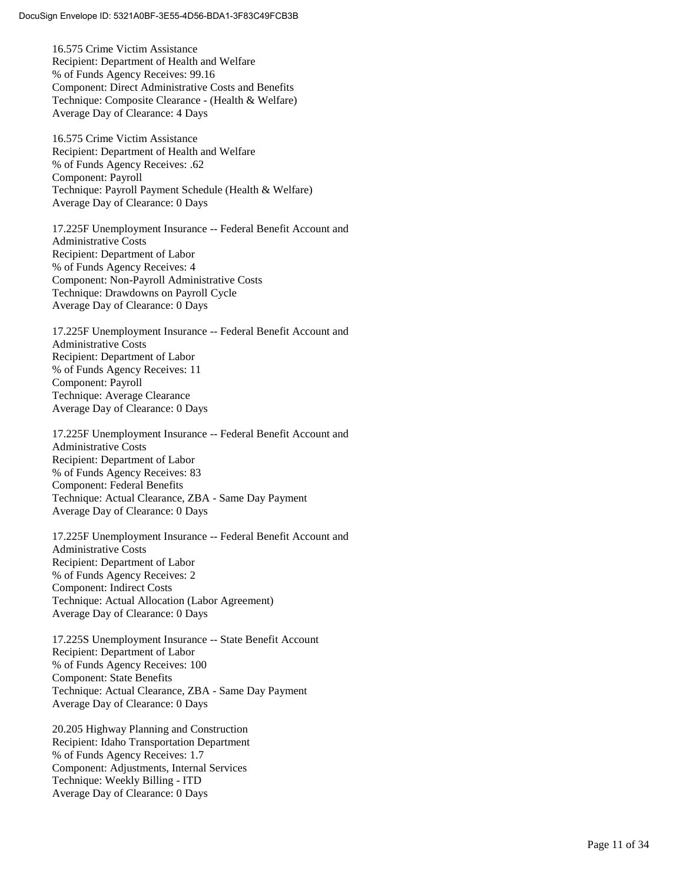16.575 Crime Victim Assistance Recipient: Department of Health and Welfare % of Funds Agency Receives: 99.16 Component: Direct Administrative Costs and Benefits Technique: Composite Clearance - (Health & Welfare) Average Day of Clearance: 4 Days

16.575 Crime Victim Assistance Recipient: Department of Health and Welfare % of Funds Agency Receives: .62 Component: Payroll Technique: Payroll Payment Schedule (Health & Welfare) Average Day of Clearance: 0 Days

17.225F Unemployment Insurance -- Federal Benefit Account and Administrative Costs Recipient: Department of Labor % of Funds Agency Receives: 4 Component: Non -Payroll Administrative Costs Technique: Drawdowns on Payroll Cycle Average Day of Clearance: 0 Days

17.225F Unemployment Insurance -- Federal Benefit Account and Administrative Costs Recipient: Department of Labor % of Funds Agency Receives: 11 Component: Payroll Technique: Average Clearance Average Day of Clearance: 0 Days

17.225F Unemployment Insurance -- Federal Benefit Account and Administrative Costs Recipient: Department of Labor % of Funds Agency Receives: 83 Component: Federal Benefits Technique: Actual Clearance, ZBA - Same Day Payment Average Day of Clearance: 0 Days

17.225F Unemployment Insurance -- Federal Benefit Account and Administrative Costs Recipient: Department of Labor % of Funds Agency Receives: 2 Component: Indirect Costs Technique: Actual Allocation (Labor Agreement) Average Day of Clearance: 0 Days

17.225S Unemployment Insurance -- State Benefit Account Recipient: Department of Labor % of Funds Agency Receives: 100 Component: State Benefits Technique: Actual Clearance, ZBA - Same Day Payment Average Day of Clearance: 0 Days

20.205 Highway Planning and Construction Recipient: Idaho Transportation Department % of Funds Agency Receives: 1.7 Component: Adjustments, Internal Services Technique: Weekly Billing - ITD Average Day of Clearance: 0 Days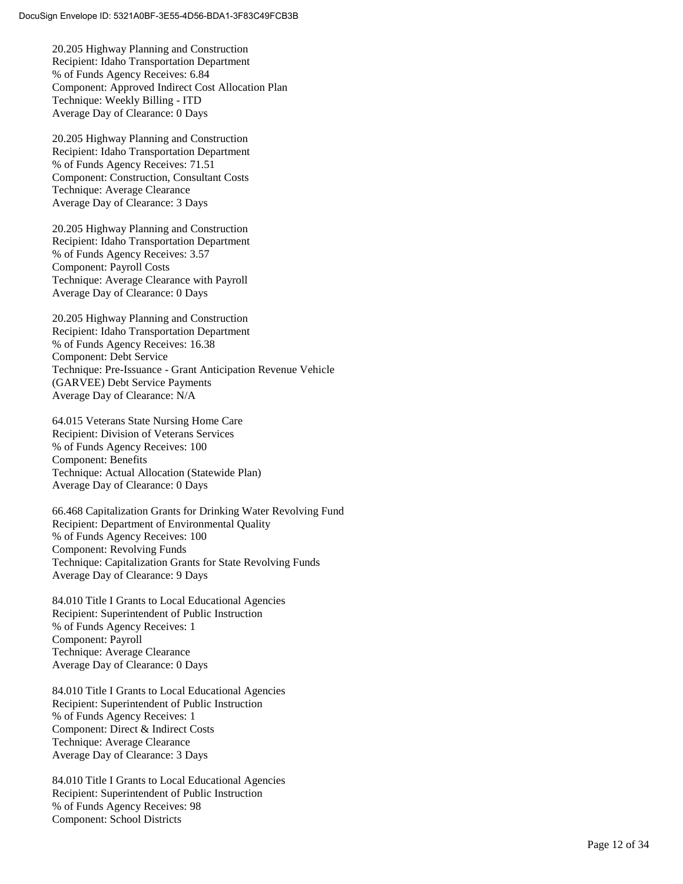20.205 Highway Planning and Construction Recipient: Idaho Transportation Department % of Funds Agency Receives: 6.84 Component: Approved Indirect Cost Allocation Plan Technique: Weekly Billing - ITD Average Day of Clearance: 0 Days

20.205 Highway Planning and Construction Recipient: Idaho Transportation Department % of Funds Agency Receives: 71.51 Component: Construction, Consultant Costs Technique: Average Clearance Average Day of Clearance: 3 Days

20.205 Highway Planning and Construction Recipient: Idaho Transportation Department % of Funds Agency Receives: 3.57 Component: Payroll Costs Technique: Average Clearance with Payroll Average Day of Clearance: 0 Days

20.205 Highway Planning and Construction Recipient: Idaho Transportation Department % of Funds Agency Receives: 16.38 Component: Debt Service Technique: Pre -Issuance - Grant Anticipation Revenue Vehicle (GARVEE) Debt Service Payments Average Day of Clearance: N/A

64.015 Veterans State Nursing Home Care Recipient: Division of Veterans Services % of Funds Agency Receives: 100 Component: Benefits Technique: Actual Allocation (Statewide Plan) Average Day of Clearance: 0 Days

66.468 Capitalization Grants for Drinking Water Revolving Fund Recipient: Department of Environmental Quality % of Funds Agency Receives: 100 Component: Revolving Funds Technique: Capitalization Grants for State Revolving Funds Average Day of Clearance: 9 Days

84.010 Title I Grants to Local Educational Agencies Recipient: Superintendent of Public Instruction % of Funds Agency Receives: 1 Component: Payroll Technique: Average Clearance Average Day of Clearance: 0 Days

84.010 Title I Grants to Local Educational Agencies Recipient: Superintendent of Public Instruction % of Funds Agency Receives: 1 Component: Direct & Indirect Costs Technique: Average Clearance Average Day of Clearance: 3 Days

84.010 Title I Grants to Local Educational Agencies Recipient: Superintendent of Public Instruction % of Funds Agency Receives: 98 Component: School Districts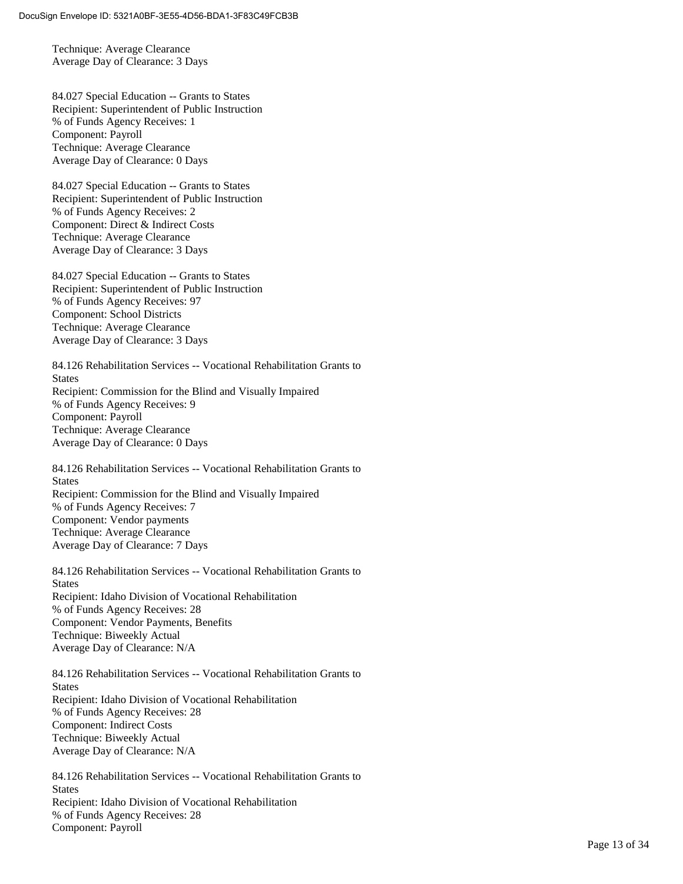Technique: Average Clearance Average Day of Clearance: 3 Days

84.027 Special Education -- Grants to States Recipient: Superintendent of Public Instruction % of Funds Agency Receives: 1 Component: Payroll Technique: Average Clearance Average Day of Clearance: 0 Days

84.027 Special Education -- Grants to States Recipient: Superintendent of Public Instruction % of Funds Agency Receives: 2 Component: Direct & Indirect Costs Technique: Average Clearance Average Day of Clearance: 3 Days

84.027 Special Education -- Grants to States Recipient: Superintendent of Public Instruction % of Funds Agency Receives: 97 Component: School Districts Technique: Average Clearance Average Day of Clearance: 3 Days

84.126 Rehabilitation Services -- Vocational Rehabilitation Grants to **States** Recipient: Commission for the Blind and Visually Impaired % of Funds Agency Receives: 9 Component: Payroll Technique: Average Clearance Average Day of Clearance: 0 Days

84.126 Rehabilitation Services -- Vocational Rehabilitation Grants to **States** Recipient: Commission for the Blind and Visually Impaired % of Funds Agency Receives: 7 Component: Vendor payments Technique: Average Clearance Average Day of Clearance: 7 Days

84.126 Rehabilitation Services -- Vocational Rehabilitation Grants to **States** Recipient: Idaho Division of Vocational Rehabilitation % of Funds Agency Receives: 28 Component: Vendor Payments, Benefits Technique: Biweekly Actual Average Day of Clearance: N/A

84.126 Rehabilitation Services -- Vocational Rehabilitation Grants to States Recipient: Idaho Division of Vocational Rehabilitation % of Funds Agency Receives: 28 Component: Indirect Costs Technique: Biweekly Actual Average Day of Clearance: N/A

84.126 Rehabilitation Services -- Vocational Rehabilitation Grants to **States** Recipient: Idaho Division of Vocational Rehabilitation % of Funds Agency Receives: 28 Component: Payroll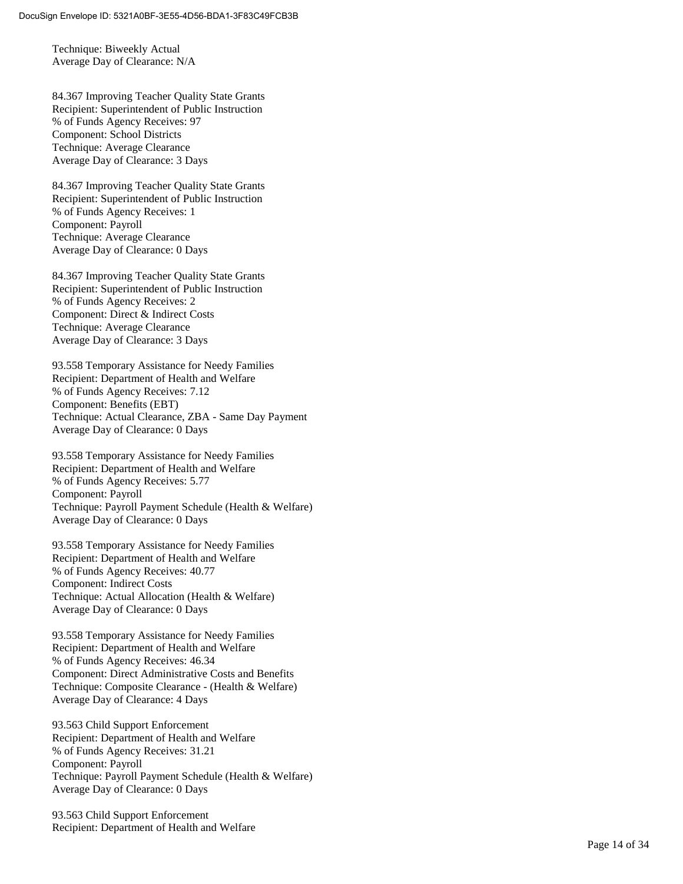Technique: Biweekly Actual Average Day of Clearance: N/A

84.367 Improving Teacher Quality State Grants Recipient: Superintendent of Public Instruction % of Funds Agency Receives: 97 Component: School Districts Technique: Average Clearance Average Day of Clearance: 3 Days

84.367 Improving Teacher Quality State Grants Recipient: Superintendent of Public Instruction % of Funds Agency Receives: 1 Component: Payroll Technique: Average Clearance Average Day of Clearance: 0 Days

84.367 Improving Teacher Quality State Grants Recipient: Superintendent of Public Instruction % of Funds Agency Receives: 2 Component: Direct & Indirect Costs Technique: Average Clearance Average Day of Clearance: 3 Days

93.558 Temporary Assistance for Needy Families Recipient: Department of Health and Welfare % of Funds Agency Receives: 7.12 Component: Benefits (EBT) Technique: Actual Clearance, ZBA - Same Day Payment Average Day of Clearance: 0 Days

93.558 Temporary Assistance for Needy Families Recipient: Department of Health and Welfare % of Funds Agency Receives: 5.77 Component: Payroll Technique: Payroll Payment Schedule (Health & Welfare) Average Day of Clearance: 0 Days

93.558 Temporary Assistance for Needy Families Recipient: Department of Health and Welfare % of Funds Agency Receives: 40.77 Component: Indirect Costs Technique: Actual Allocation (Health & Welfare) Average Day of Clearance: 0 Days

93.558 Temporary Assistance for Needy Families Recipient: Department of Health and Welfare % of Funds Agency Receives: 46.34 Component: Direct Administrative Costs and Benefits Technique: Composite Clearance - (Health & Welfare) Average Day of Clearance: 4 Days

93.563 Child Support Enforcement Recipient: Department of Health and Welfare % of Funds Agency Receives: 31.21 Component: Payroll Technique: Payroll Payment Schedule (Health & Welfare) Average Day of Clearance: 0 Days

93.563 Child Support Enforcement Recipient: Department of Health and Welfare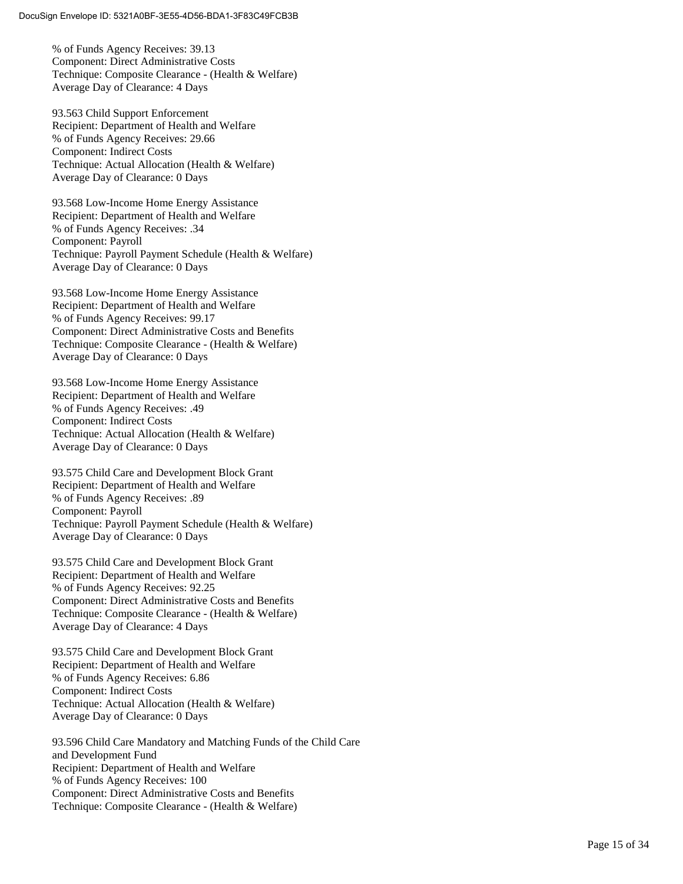% of Funds Agency Receives: 39.13 Component: Direct Administrative Costs Technique: Composite Clearance - (Health & Welfare) Average Day of Clearance: 4 Days

93.563 Child Support Enforcement Recipient: Department of Health and Welfare % of Funds Agency Receives: 29.66 Component: Indirect Costs Technique: Actual Allocation (Health & Welfare) Average Day of Clearance: 0 Days

93.568 Low -Income Home Energy Assistance Recipient: Department of Health and Welfare % of Funds Agency Receives: .34 Component: Payroll Technique: Payroll Payment Schedule (Health & Welfare) Average Day of Clearance: 0 Days

93.568 Low -Income Home Energy Assistance Recipient: Department of Health and Welfare % of Funds Agency Receives: 99.17 Component: Direct Administrative Costs and Benefits Technique: Composite Clearance - (Health & Welfare) Average Day of Clearance: 0 Days

93.568 Low -Income Home Energy Assistance Recipient: Department of Health and Welfare % of Funds Agency Receives: .49 Component: Indirect Costs Technique: Actual Allocation (Health & Welfare) Average Day of Clearance: 0 Days

93.575 Child Care and Development Block Grant Recipient: Department of Health and Welfare % of Funds Agency Receives: .89 Component: Payroll Technique: Payroll Payment Schedule (Health & Welfare) Average Day of Clearance: 0 Days

93.575 Child Care and Development Block Grant Recipient: Department of Health and Welfare % of Funds Agency Receives: 92.25 Component: Direct Administrative Costs and Benefits Technique: Composite Clearance - (Health & Welfare) Average Day of Clearance: 4 Days

93.575 Child Care and Development Block Grant Recipient: Department of Health and Welfare % of Funds Agency Receives: 6.86 Component: Indirect Costs Technique: Actual Allocation (Health & Welfare) Average Day of Clearance: 0 Days

93.596 Child Care Mandatory and Matching Funds of the Child Care and Development Fund Recipient: Department of Health and Welfare % of Funds Agency Receives: 100 Component: Direct Administrative Costs and Benefits Technique: Composite Clearance - (Health & Welfare)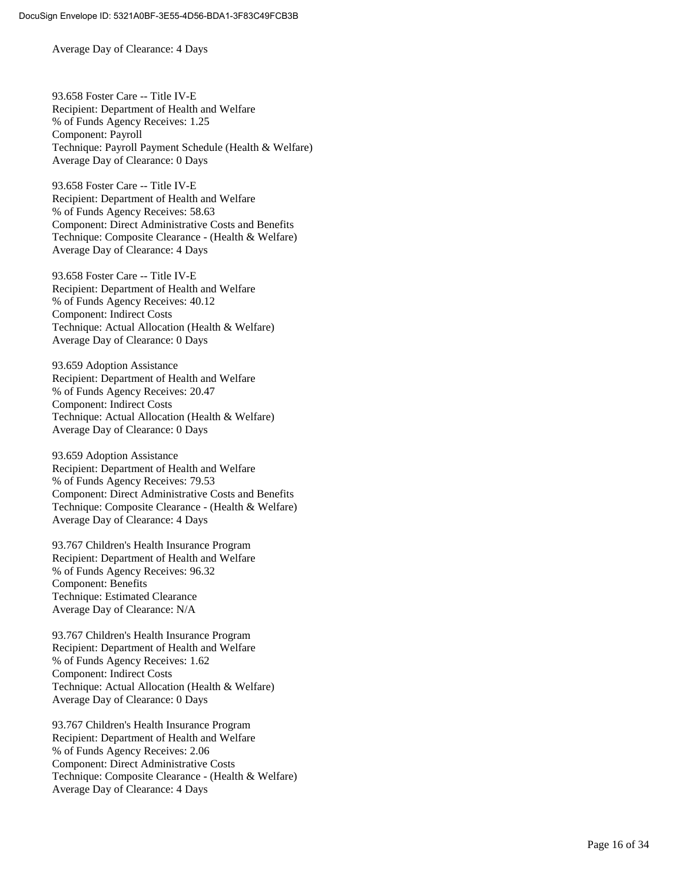Average Day of Clearance: 4 Days

93.658 Foster Care -- Title IV-E Recipient: Department of Health and Welfare % of Funds Agency Receives: 1.25 Component: Payroll Technique: Payroll Payment Schedule (Health & Welfare) Average Day of Clearance: 0 Days

93.658 Foster Care -- Title IV-E Recipient: Department of Health and Welfare % of Funds Agency Receives: 58.63 Component: Direct Administrative Costs and Benefits Technique: Composite Clearance - (Health & Welfare) Average Day of Clearance: 4 Days

93.658 Foster Care -- Title IV-E Recipient: Department of Health and Welfare % of Funds Agency Receives: 40.12 Component: Indirect Costs Technique: Actual Allocation (Health & Welfare) Average Day of Clearance: 0 Days

93.659 Adoption Assistance Recipient: Department of Health and Welfare % of Funds Agency Receives: 20.47 Component: Indirect Costs Technique: Actual Allocation (Health & Welfare) Average Day of Clearance: 0 Days

93.659 Adoption Assistance Recipient: Department of Health and Welfare % of Funds Agency Receives: 79.53 Component: Direct Administrative Costs and Benefits Technique: Composite Clearance - (Health & Welfare) Average Day of Clearance: 4 Days

93.767 Children's Health Insurance Program Recipient: Department of Health and Welfare % of Funds Agency Receives: 96.32 Component: Benefits Technique: Estimated Clearance Average Day of Clearance: N/A

93.767 Children's Health Insurance Program Recipient: Department of Health and Welfare % of Funds Agency Receives: 1.62 Component: Indirect Costs Technique: Actual Allocation (Health & Welfare) Average Day of Clearance: 0 Days

93.767 Children's Health Insurance Program Recipient: Department of Health and Welfare % of Funds Agency Receives: 2.06 Component: Direct Administrative Costs Technique: Composite Clearance - (Health & Welfare) Average Day of Clearance: 4 Days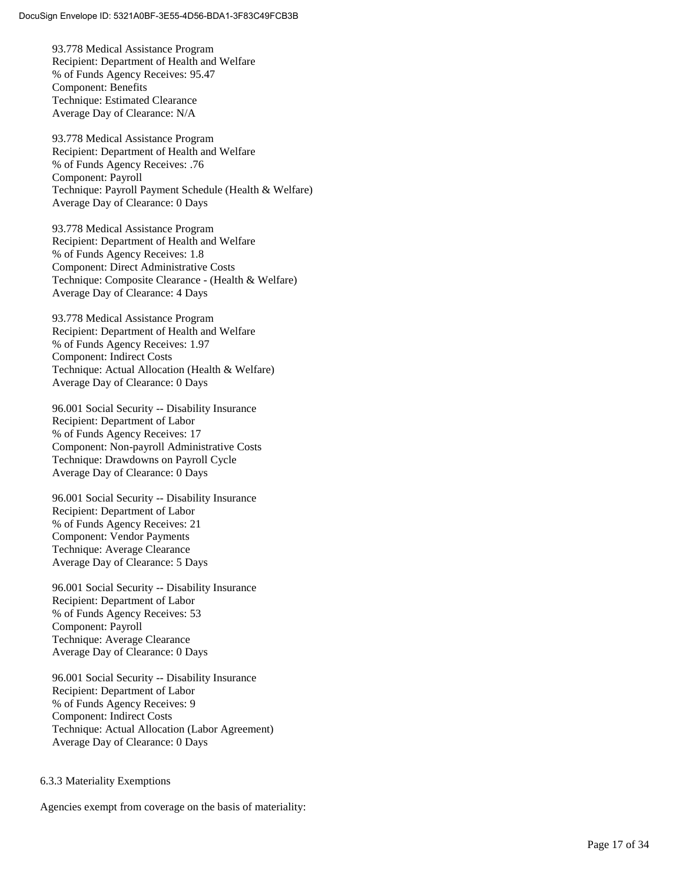93.778 Medical Assistance Program Recipient: Department of Health and Welfare % of Funds Agency Receives: 95.47 Component: Benefits Technique: Estimated Clearance Average Day of Clearance: N/A

93.778 Medical Assistance Program Recipient: Department of Health and Welfare % of Funds Agency Receives: .76 Component: Payroll Technique: Payroll Payment Schedule (Health & Welfare) Average Day of Clearance: 0 Days

93.778 Medical Assistance Program Recipient: Department of Health and Welfare % of Funds Agency Receives: 1.8 Component: Direct Administrative Costs Technique: Composite Clearance - (Health & Welfare) Average Day of Clearance: 4 Days

93.778 Medical Assistance Program Recipient: Department of Health and Welfare % of Funds Agency Receives: 1.97 Component: Indirect Costs Technique: Actual Allocation (Health & Welfare) Average Day of Clearance: 0 Days

96.001 Social Security -- Disability Insurance Recipient: Department of Labor % of Funds Agency Receives: 17 Component: Non -payroll Administrative Costs Technique: Drawdowns on Payroll Cycle Average Day of Clearance: 0 Days

96.001 Social Security -- Disability Insurance Recipient: Department of Labor % of Funds Agency Receives: 21 Component: Vendor Payments Technique: Average Clearance Average Day of Clearance: 5 Days

96.001 Social Security -- Disability Insurance Recipient: Department of Labor % of Funds Agency Receives: 53 Component: Payroll Technique: Average Clearance Average Day of Clearance: 0 Days

96.001 Social Security -- Disability Insurance Recipient: Department of Labor % of Funds Agency Receives: 9 Component: Indirect Costs Technique: Actual Allocation (Labor Agreement) Average Day of Clearance: 0 Days

#### 6.3.3 Materiality Exemptions

Agencies exempt from coverage on the basis of materiality: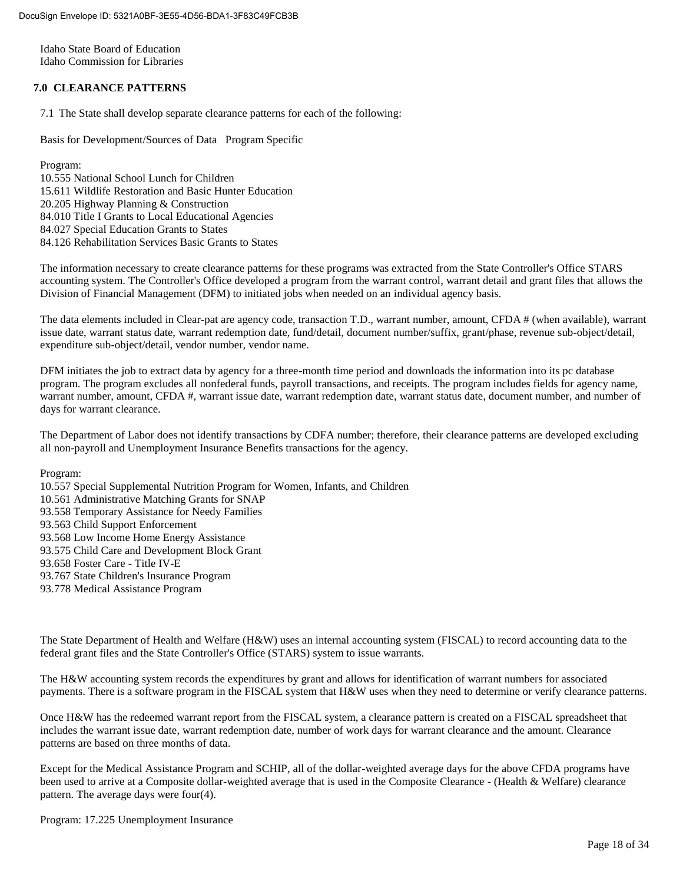Idaho State Board of Education Idaho Commission for Libraries

#### **7.0 CLEARANCE PATTERNS**

7.1 The State shall develop separate clearance patterns for each of the following:

Basis for Development/Sources of Data Program Specific

Program:

10.555 National School Lunch for Children 15.611 Wildlife Restoration and Basic Hunter Education 20.205 Highway Planning & Construction 84.010 Title I Grants to Local Educational Agencies 84.027 Special Education Grants to States 84.126 Rehabilitation Services Basic Grants to States

The information necessary to create clearance patterns for these programs was extracted from the State Controller's Office STARS accounting system. The Controller's Office developed a program from the warrant control, warrant detail and grant files that allows the Division of Financial Management (DFM) to initiated jobs when needed on an individual agency basis.

The data elements included in Clear-pat are agency code, transaction T.D., warrant number, amount, CFDA # (when available), warrant issue date, warrant status date, warrant redemption date, fund/detail, document number/suffix, grant/phase, revenue sub-object/detail, expenditure sub-object/detail, vendor number, vendor name.

DFM initiates the job to extract data by agency for a three-month time period and downloads the information into its pc database program. The program excludes all nonfederal funds, payroll transactions, and receipts. The program includes fields for agency name, warrant number, amount, CFDA #, warrant issue date, warrant redemption date, warrant status date, document number, and number of days for warrant clearance.

The Department of Labor does not identify transactions by CDFA number; therefore, their clearance patterns are developed excluding all non-payroll and Unemployment Insurance Benefits transactions for the agency.

Program:

10.557 Special Supplemental Nutrition Program for Women, Infants, and Children 10.561 Administrative Matching Grants for SNAP 93.558 Temporary Assistance for Needy Families 93.563 Child Support Enforcement 93.568 Low Income Home Energy Assistance 93.575 Child Care and Development Block Grant 93.658 Foster Care - Title IV-E 93.767 State Children's Insurance Program 93.778 Medical Assistance Program

The State Department of Health and Welfare (H&W) uses an internal accounting system (FISCAL) to record accounting data to the federal grant files and the State Controller's Office (STARS) system to issue warrants.

The H&W accounting system records the expenditures by grant and allows for identification of warrant numbers for associated payments. There is a software program in the FISCAL system that H&W uses when they need to determine or verify clearance patterns.

Once H&W has the redeemed warrant report from the FISCAL system, a clearance pattern is created on a FISCAL spreadsheet that includes the warrant issue date, warrant redemption date, number of work days for warrant clearance and the amount. Clearance patterns are based on three months of data.

Except for the Medical Assistance Program and SCHIP, all of the dollar-weighted average days for the above CFDA programs have been used to arrive at a Composite dollar-weighted average that is used in the Composite Clearance - (Health & Welfare) clearance pattern. The average days were four(4).

Program: 17.225 Unemployment Insurance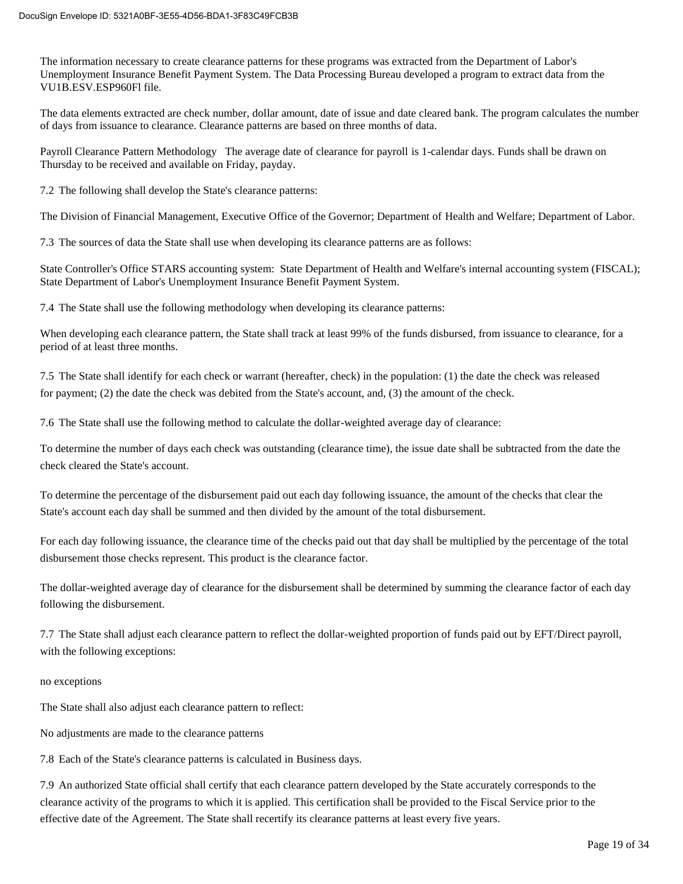The information necessary to create clearance patterns for these programs was extracted from the Department of Labor's Unemployment Insurance Benefit Payment System. The Data Processing Bureau developed a program to extract data from the VU1B.ESV.ESP960Fl file.

The data elements extracted are check number, dollar amount, date of issue and date cleared bank. The program calculates the number of days from issuance to clearance. Clearance patterns are based on three months of data.

Payroll Clearance Pattern Methodology The average date of clearance for payroll is 1-calendar days. Funds shall be drawn on Thursday to be received and available on Friday, payday.

7.2 The following shall develop the State's clearance patterns:

The Division of Financial Management, Executive Office of the Governor; Department of Health and Welfare; Department of Labor.

7.3 The sources of data the State shall use when developing its clearance patterns are as follows:

State Controller's Office STARS accounting system: State Department of Health and Welfare's internal accounting system (FISCAL); State Department of Labor's Unemployment Insurance Benefit Payment System.

7.4 The State shall use the following methodology when developing its clearance patterns:

When developing each clearance pattern, the State shall track at least 99% of the funds disbursed, from issuance to clearance, for a period of at least three months.

7.5 The State shall identify for each check or warrant (hereafter, check) in the population: (1) the date the check was released for payment; (2) the date the check was debited from the State's account, and, (3) the amount of the check.

7.6 The State shall use the following method to calculate the dollar-weighted average day of clearance:

To determine the number of days each check was outstanding (clearance time), the issue date shall be subtracted from the date the check cleared the State's account.

To determine the percentage of the disbursement paid out each day following issuance, the amount of the checks that clear the State's account each day shall be summed and then divided by the amount of the total disbursement.

For each day following issuance, the clearance time of the checks paid out that day shall be multiplied by the percentage of the total disbursement those checks represent. This product is the clearance factor.

The dollar-weighted average day of clearance for the disbursement shall be determined by summing the clearance factor of each day following the disbursement.

7.7 The State shall adjust each clearance pattern to reflect the dollar-weighted proportion of funds paid out by EFT/Direct payroll, with the following exceptions:

#### no exceptions

The State shall also adjust each clearance pattern to reflect:

No adjustments are made to the clearance patterns

7.8 Each of the State's clearance patterns is calculated in Business days.

7.9 An authorized State official shall certify that each clearance pattern developed by the State accurately corresponds to the clearance activity of the programs to which it is applied. This certification shall be provided to the Fiscal Service prior to the effective date of the Agreement. The State shall recertify its clearance patterns at least every five years.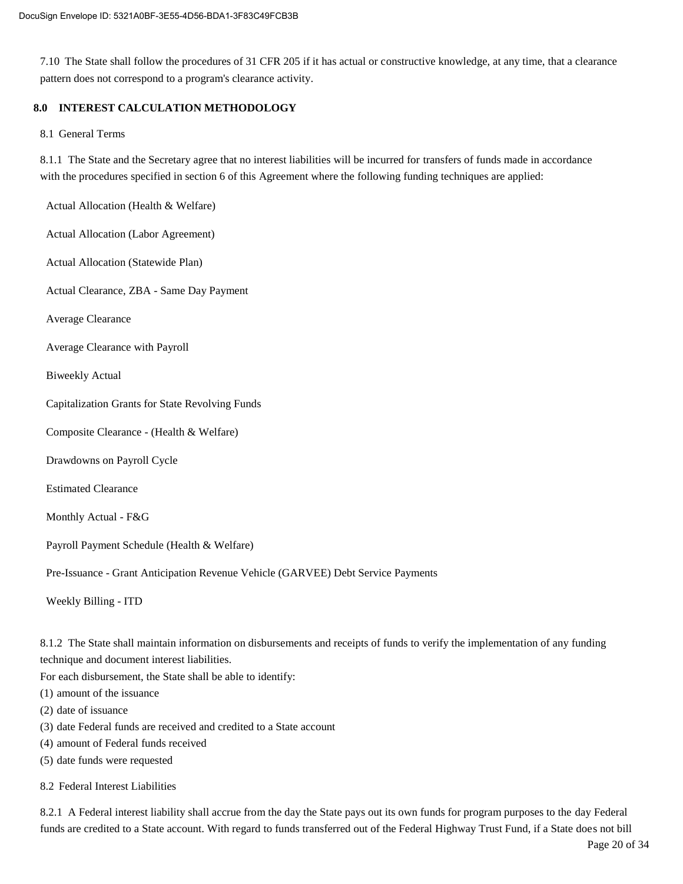7.10 The State shall follow the procedures of 31 CFR 205 if it has actual or constructive knowledge, at any time, that a clearance pattern does not correspond to a program's clearance activity.

#### **8.0 INTEREST CALCULATION METHODOLOGY**

#### 8.1 General Terms

8.1.1 The State and the Secretary agree that no interest liabilities will be incurred for transfers of funds made in accordance with the procedures specified in section 6 of this Agreement where the following funding techniques are applied:

Actual Allocation (Health & Welfare)

Actual Allocation (Labor Agreement)

Actual Allocation (Statewide Plan)

Actual Clearance, ZBA - Same Day Payment

Average Clearance

Average Clearance with Payroll

Biweekly Actual

Capitalization Grants for State Revolving Funds

Composite Clearance - (Health & Welfare)

Drawdowns on Payroll Cycle

Estimated Clearance

Monthly Actual - F&G

Payroll Payment Schedule (Health & Welfare)

Pre-Issuance - Grant Anticipation Revenue Vehicle (GARVEE) Debt Service Payments

Weekly Billing - ITD

8.1.2 The State shall maintain information on disbursements and receipts of funds to verify the implementation of any funding technique and document interest liabilities.

For each disbursement, the State shall be able to identify:

(1) amount of the issuance

- (2) date of issuance
- (3) date Federal funds are received and credited to a State account
- (4) amount of Federal funds received
- (5) date funds were requested
- 8.2 Federal Interest Liabilities

8.2.1 A Federal interest liability shall accrue from the day the State pays out its own funds for program purposes to the day Federal funds are credited to a State account. With regard to funds transferred out of the Federal Highway Trust Fund, if a State does not bill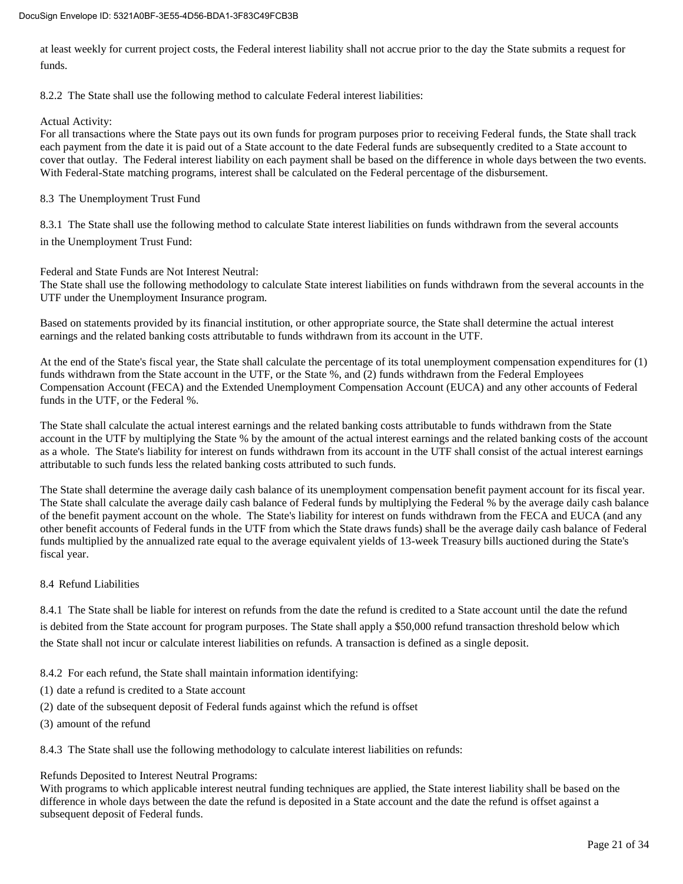at least weekly for current project costs, the Federal interest liability shall not accrue prior to the day the State submits a request for funds.

8.2.2 The State shall use the following method to calculate Federal interest liabilities:

#### Actual Activity:

For all transactions where the State pays out its own funds for program purposes prior to receiving Federal funds, the State shall track each payment from the date it is paid out of a State account to the date Federal funds are subsequently credited to a State account to cover that outlay. The Federal interest liability on each payment shall be based on the difference in whole days between the two events. With Federal-State matching programs, interest shall be calculated on the Federal percentage of the disbursement.

8.3 The Unemployment Trust Fund

8.3.1 The State shall use the following method to calculate State interest liabilities on funds withdrawn from the several accounts in the Unemployment Trust Fund:

Federal and State Funds are Not Interest Neutral:

The State shall use the following methodology to calculate State interest liabilities on funds withdrawn from the several accounts in the UTF under the Unemployment Insurance program.

Based on statements provided by its financial institution, or other appropriate source, the State shall determine the actual interest earnings and the related banking costs attributable to funds withdrawn from its account in the UTF.

At the end of the State's fiscal year, the State shall calculate the percentage of its total unemployment compensation expenditures for (1) funds withdrawn from the State account in the UTF, or the State %, and (2) funds withdrawn from the Federal Employees Compensation Account (FECA) and the Extended Unemployment Compensation Account (EUCA) and any other accounts of Federal funds in the UTF, or the Federal %.

The State shall calculate the actual interest earnings and the related banking costs attributable to funds withdrawn from the State account in the UTF by multiplying the State % by the amount of the actual interest earnings and the related banking costs of the account as a whole. The State's liability for interest on funds withdrawn from its account in the UTF shall consist of the actual interest earnings attributable to such funds less the related banking costs attributed to such funds.

The State shall determine the average daily cash balance of its unemployment compensation benefit payment account for its fiscal year. The State shall calculate the average daily cash balance of Federal funds by multiplying the Federal % by the average daily cash balance of the benefit payment account on the whole. The State's liability for interest on funds withdrawn from the FECA and EUCA (and any other benefit accounts of Federal funds in the UTF from which the State draws funds) shall be the average daily cash balance of Federal funds multiplied by the annualized rate equal to the average equivalent yields of 13-week Treasury bills auctioned during the State's fiscal year.

#### 8.4 Refund Liabilities

8.4.1 The State shall be liable for interest on refunds from the date the refund is credited to a State account until the date the refund is debited from the State account for program purposes. The State shall apply a \$50,000 refund transaction threshold below which the State shall not incur or calculate interest liabilities on refunds. A transaction is defined as a single deposit.

8.4.2 For each refund, the State shall maintain information identifying:

- (1) date a refund is credited to a State account
- (2) date of the subsequent deposit of Federal funds against which the refund is offset
- (3) amount of the refund

8.4.3 The State shall use the following methodology to calculate interest liabilities on refunds:

#### Refunds Deposited to Interest Neutral Programs:

With programs to which applicable interest neutral funding techniques are applied, the State interest liability shall be based on the difference in whole days between the date the refund is deposited in a State account and the date the refund is offset against a subsequent deposit of Federal funds.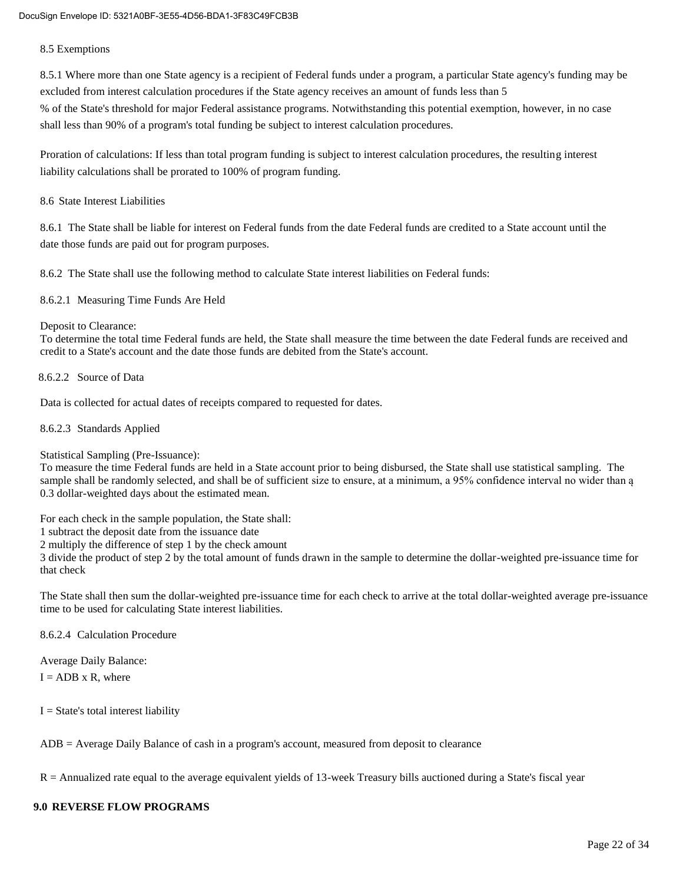#### 8.5 Exemptions

8.5.1 Where more than one State agency is a recipient of Federal funds under a program, a particular State agency's funding may be excluded from interest calculation procedures if the State agency receives an amount of funds less than 5 % of the State's threshold for major Federal assistance programs. Notwithstanding this potential exemption, however, in no case shall less than 90% of a program's total funding be subject to interest calculation procedures.

Proration of calculations: If less than total program funding is subject to interest calculation procedures, the resulting interest liability calculations shall be prorated to 100% of program funding.

#### 8.6 State Interest Liabilities

8.6.1 The State shall be liable for interest on Federal funds from the date Federal funds are credited to a State account until the date those funds are paid out for program purposes.

8.6.2 The State shall use the following method to calculate State interest liabilities on Federal funds:

8.6.2.1 Measuring Time Funds Are Held

#### Deposit to Clearance:

To determine the total time Federal funds are held, the State shall measure the time between the date Federal funds are received and credit to a State's account and the date those funds are debited from the State's account.

#### 8.6.2.2 Source of Data

Data is collected for actual dates of receipts compared to requested for dates.

8.6.2.3 Standards Applied

Statistical Sampling (Pre-Issuance):

To measure the time Federal funds are held in a State account prior to being disbursed, the State shall use statistical sampling. The sample shall be randomly selected, and shall be of sufficient size to ensure, at a minimum, a 95% confidence interval no wider than ą 0.3 dollar-weighted days about the estimated mean.

For each check in the sample population, the State shall:

1 subtract the deposit date from the issuance date

2 multiply the difference of step 1 by the check amount

3 divide the product of step 2 by the total amount of funds drawn in the sample to determine the dollar-weighted pre-issuance time for that check

The State shall then sum the dollar-weighted pre-issuance time for each check to arrive at the total dollar-weighted average pre-issuance time to be used for calculating State interest liabilities.

8.6.2.4 Calculation Procedure

Average Daily Balance:

 $I = ADB \times R$ , where

 $I = State's total interest liability$ 

ADB = Average Daily Balance of cash in a program's account, measured from deposit to clearance

 $R =$  Annualized rate equal to the average equivalent yields of 13-week Treasury bills auctioned during a State's fiscal year

#### **9.0 REVERSE FLOW PROGRAMS**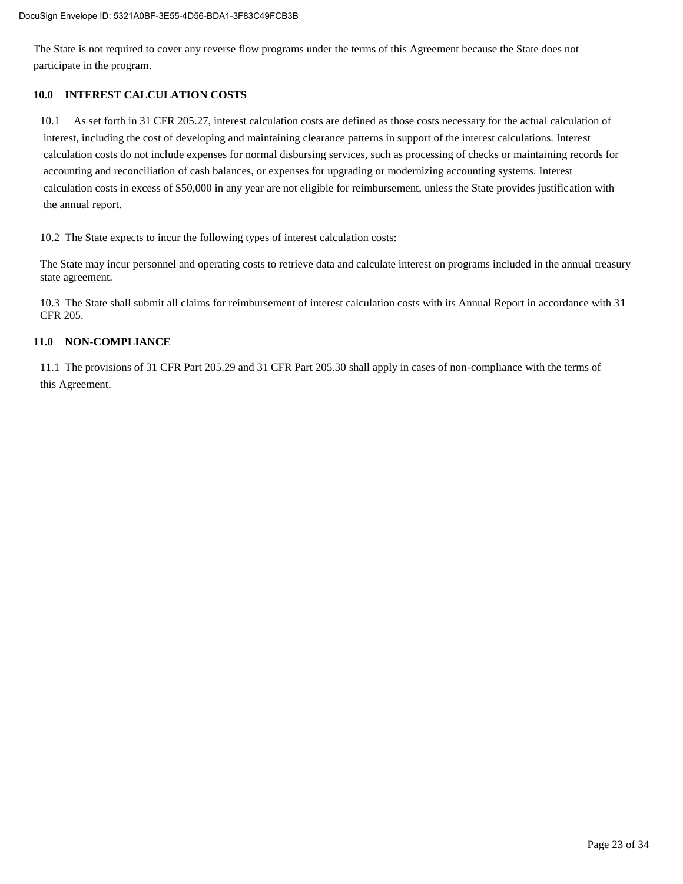The State is not required to cover any reverse flow programs under the terms of this Agreement because the State does not participate in the program.

#### **10.0 INTEREST CALCULATION COSTS**

10.1 As set forth in 31 CFR 205.27, interest calculation costs are defined as those costs necessary for the actual calculation of interest, including the cost of developing and maintaining clearance patterns in support of the interest calculations. Interest calculation costs do not include expenses for normal disbursing services, such as processing of checks or maintaining records for accounting and reconciliation of cash balances, or expenses for upgrading or modernizing accounting systems. Interest calculation costs in excess of \$50,000 in any year are not eligible for reimbursement, unless the State provides justification with the annual report.

10.2 The State expects to incur the following types of interest calculation costs:

The State may incur personnel and operating costs to retrieve data and calculate interest on programs included in the annual treasury state agreement.

10.3 The State shall submit all claims for reimbursement of interest calculation costs with its Annual Report in accordance with 31 CFR 205.

#### **11.0 NON-COMPLIANCE**

11.1 The provisions of 31 CFR Part 205.29 and 31 CFR Part 205.30 shall apply in cases of non-compliance with the terms of this Agreement.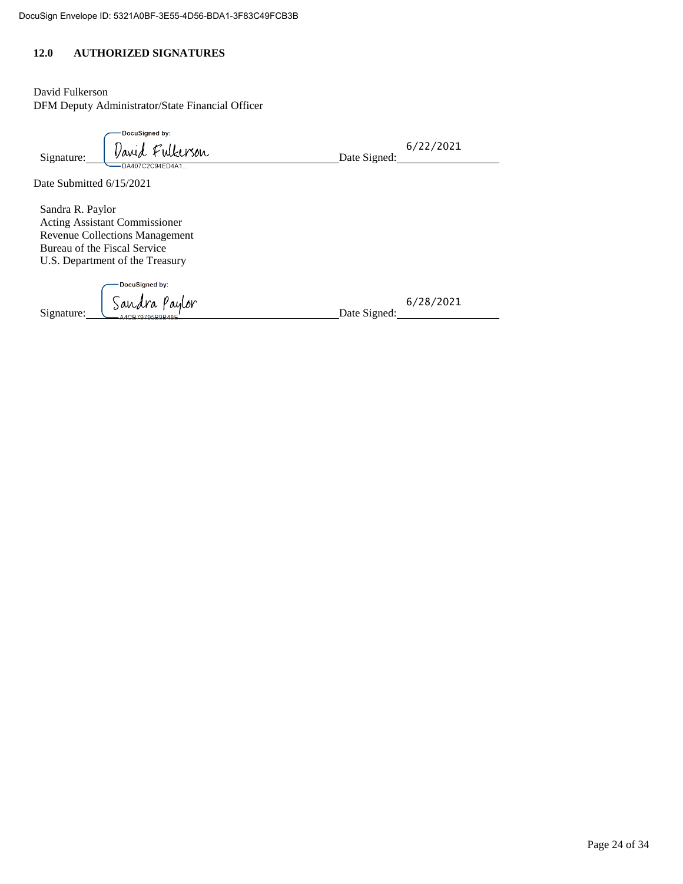#### **12.0 AUTHORIZED SIGNATURES**

David Fulkerson DFM Deputy Administrator/State Financial Officer

| Signature:               | DocuSigned by:<br>David Fulkerson | Date Signed: | 6/22/2021 |
|--------------------------|-----------------------------------|--------------|-----------|
| Date Submitted 6/15/2021 | – DA407C2C94ED4A1                 |              |           |

Sandra R. Paylor Acting Assistant Commissioner Revenue Collections Management Bureau of the Fiscal Service U.S. Department of the Treasury

DocuSigned by: Signature: Sandra Paylor<br>Date Signed:

6/28/2021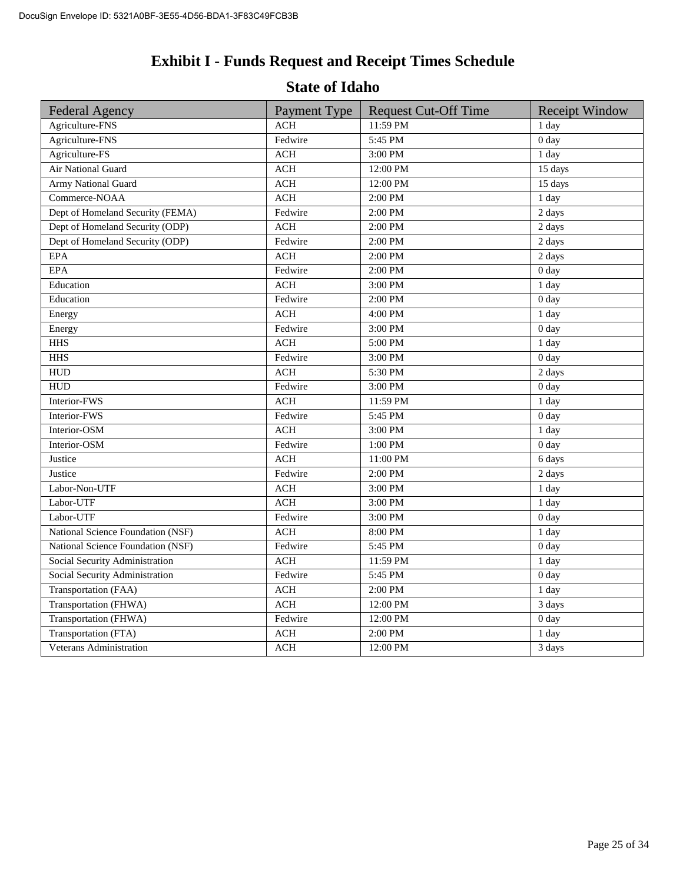# **Exhibit I - Funds Request and Receipt Times Schedule**

### **State of Idaho**

| <b>Federal Agency</b>             | Payment Type                     | <b>Request Cut-Off Time</b> | <b>Receipt Window</b> |
|-----------------------------------|----------------------------------|-----------------------------|-----------------------|
| Agriculture-FNS                   | <b>ACH</b>                       | 11:59 PM                    | 1 day                 |
| Agriculture-FNS                   | Fedwire                          | 5:45 PM                     | 0 <sub>day</sub>      |
| Agriculture-FS                    | <b>ACH</b>                       | 3:00 PM                     | $\overline{1}$ day    |
| Air National Guard                | $\mathbb{A}\mathbb{C}\mathbb{H}$ | 12:00 PM                    | 15 days               |
| <b>Army National Guard</b>        | <b>ACH</b>                       | 12:00 PM                    | 15 days               |
| Commerce-NOAA                     | ACH                              | 2:00 PM                     | 1 day                 |
| Dept of Homeland Security (FEMA)  | Fedwire                          | 2:00 PM                     | 2 days                |
| Dept of Homeland Security (ODP)   | <b>ACH</b>                       | 2:00 PM                     | 2 days                |
| Dept of Homeland Security (ODP)   | Fedwire                          | 2:00 PM                     | 2 days                |
| $\rm{EPA}$                        | <b>ACH</b>                       | 2:00 PM                     | 2 days                |
| <b>EPA</b>                        | Fedwire                          | 2:00 PM                     | 0 <sub>day</sub>      |
| Education                         | <b>ACH</b>                       | 3:00 PM                     | 1 day                 |
| Education                         | Fedwire                          | 2:00 PM                     | 0 <sub>day</sub>      |
| Energy                            | <b>ACH</b>                       | 4:00 PM                     | 1 day                 |
| Energy                            | Fedwire                          | 3:00 PM                     | 0 <sub>day</sub>      |
| <b>HHS</b>                        | <b>ACH</b>                       | 5:00 PM                     | 1 day                 |
| <b>HHS</b>                        | Fedwire                          | 3:00 PM                     | 0 <sub>day</sub>      |
| <b>HUD</b>                        | <b>ACH</b>                       | 5:30 PM                     | 2 days                |
| <b>HUD</b>                        | Fedwire                          | 3:00 PM                     | 0 <sub>day</sub>      |
| Interior-FWS                      | <b>ACH</b>                       | 11:59 PM                    | 1 day                 |
| Interior-FWS                      | Fedwire                          | 5:45 PM                     | 0 <sub>day</sub>      |
| Interior-OSM                      | <b>ACH</b>                       | 3:00 PM                     | 1 day                 |
| Interior-OSM                      | Fedwire                          | 1:00 PM                     | 0 <sub>day</sub>      |
| Justice                           | <b>ACH</b>                       | 11:00 PM                    | 6 days                |
| Justice                           | Fedwire                          | 2:00 PM                     | 2 days                |
| Labor-Non-UTF                     | <b>ACH</b>                       | 3:00 PM                     | 1 day                 |
| Labor-UTF                         | <b>ACH</b>                       | 3:00 PM                     | 1 day                 |
| Labor-UTF                         | Fedwire                          | 3:00 PM                     | 0 <sub>day</sub>      |
| National Science Foundation (NSF) | <b>ACH</b>                       | 8:00 PM                     | 1 day                 |
| National Science Foundation (NSF) | Fedwire                          | 5:45 PM                     | 0 <sub>day</sub>      |
| Social Security Administration    | <b>ACH</b>                       | 11:59 PM                    | 1 day                 |
| Social Security Administration    | Fedwire                          | 5:45 PM                     | 0 <sub>day</sub>      |
| Transportation (FAA)              | <b>ACH</b>                       | 2:00 PM                     | 1 day                 |
| Transportation (FHWA)             | <b>ACH</b>                       | 12:00 PM                    | 3 days                |
| Transportation (FHWA)             | Fedwire                          | 12:00 PM                    | 0 <sub>day</sub>      |
| Transportation (FTA)              | <b>ACH</b>                       | 2:00 PM                     | 1 day                 |
| Veterans Administration           | $\rm ACH$                        | 12:00 PM                    | 3 days                |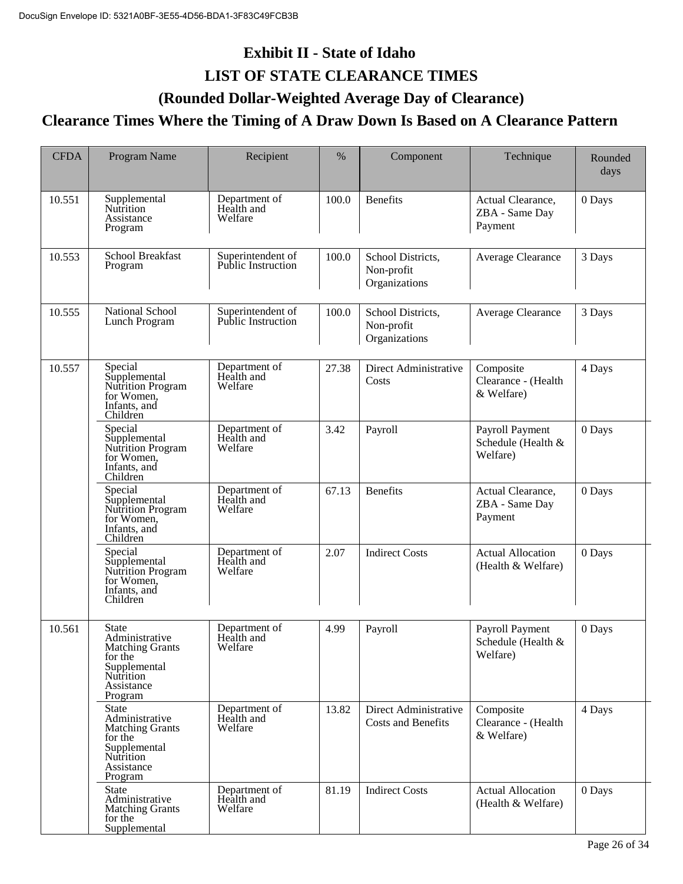# **Exhibit II - State of Idaho LIST OF STATE CLEARANCE TIMES**

### **(Rounded Dollar-Weighted Average Day of Clearance)**

### **Clearance Times Where the Timing of A Draw Down Is Based on A Clearance Pattern**

| <b>CFDA</b> | Program Name                                                                                                              | Recipient                                      | %     | Component                                          | Technique                                         | Rounded<br>days |
|-------------|---------------------------------------------------------------------------------------------------------------------------|------------------------------------------------|-------|----------------------------------------------------|---------------------------------------------------|-----------------|
| 10.551      | Supplemental<br><b>Nutrition</b><br>Assistance<br>Program                                                                 | Department of<br>Health and<br>Welfare         | 100.0 | <b>Benefits</b>                                    | Actual Clearance,<br>ZBA - Same Day<br>Payment    | 0 Days          |
| 10.553      | <b>School Breakfast</b><br>Program                                                                                        | Superintendent of<br><b>Public Instruction</b> | 100.0 | School Districts,<br>Non-profit<br>Organizations   | Average Clearance                                 | 3 Days          |
| 10.555      | National School<br>Lunch Program                                                                                          | Superintendent of<br><b>Public Instruction</b> | 100.0 | School Districts,<br>Non-profit<br>Organizations   | Average Clearance                                 | 3 Days          |
| 10.557      | Special<br>Supplemental<br>Nutrition Program<br>for Women,<br>Infants, and<br>Children                                    | Department of<br>Health and<br>Welfare         | 27.38 | Direct Administrative<br>Costs                     | Composite<br>Clearance - (Health<br>& Welfare)    | 4 Days          |
|             | Special<br>Supplemental<br>Nutrition Program<br>for Women,<br>Infants, and<br>Children                                    | Department of<br>Health and<br>Welfare         | 3.42  | Payroll                                            | Payroll Payment<br>Schedule (Health &<br>Welfare) | 0 Days          |
|             | Special<br>Supplemental<br>Nutrition Program<br>for Women,<br>Infants, and<br>Children                                    | Department of<br>Health and<br>Welfare         | 67.13 | <b>Benefits</b>                                    | Actual Clearance,<br>ZBA - Same Day<br>Payment    | 0 Days          |
|             | Special<br>Supplemental<br>Nutrition Program<br>for Women,<br>Infants, and<br>Children                                    | Department of<br>Health and<br>Welfare         | 2.07  | <b>Indirect Costs</b>                              | <b>Actual Allocation</b><br>(Health & Welfare)    | 0 Days          |
| 10.561      | State<br>Administrative<br>Matching Grants<br>for the<br>Supplemental<br>Nutrition<br>Assistance<br>Program               | Department of<br>Health and<br>welfare         | 4.99  | Payroll                                            | Payroll Payment<br>Schedule (Health &<br>Welfare) | 0 Days          |
|             | <b>State</b><br>Administrative<br><b>Matching Grants</b><br>for the<br>Supplemental<br>Nutrition<br>Assistance<br>Program | Department of<br>Health and<br>Welfare         | 13.82 | Direct Administrative<br><b>Costs and Benefits</b> | Composite<br>Clearance - (Health<br>& Welfare)    | 4 Days          |
|             | <b>State</b><br>Administrative<br><b>Matching Grants</b><br>for the<br>Supplemental                                       | Department of<br>Health and<br>Welfare         | 81.19 | <b>Indirect Costs</b>                              | <b>Actual Allocation</b><br>(Health & Welfare)    | 0 Days          |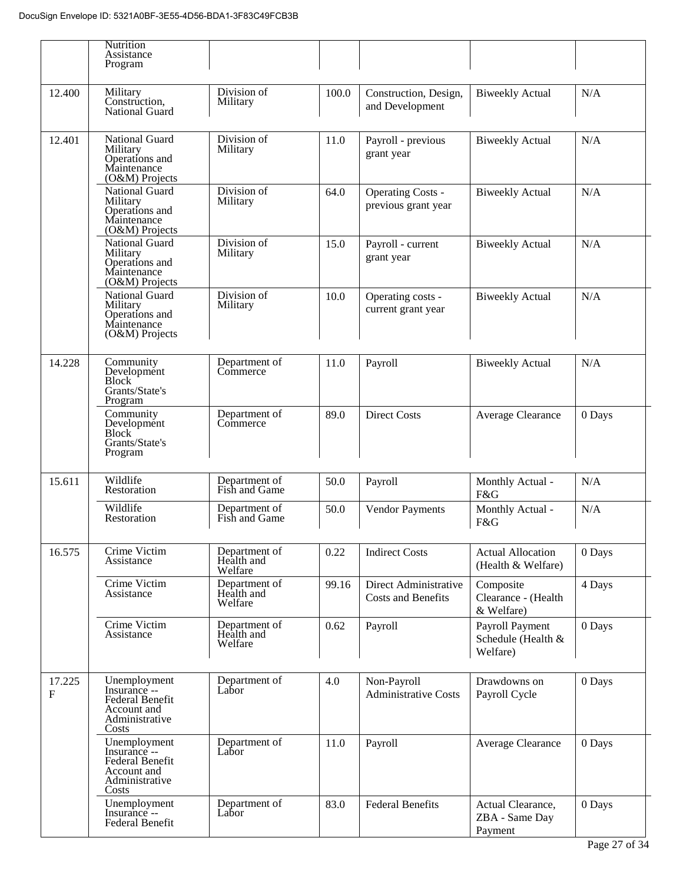|             | <b>Nutrition</b><br>Assistance<br>Program                                                        |                                        |       |                                                    |                                                   |        |
|-------------|--------------------------------------------------------------------------------------------------|----------------------------------------|-------|----------------------------------------------------|---------------------------------------------------|--------|
| 12.400      | Military<br>Construction,<br><b>National Guard</b>                                               | Division of<br>Military                | 100.0 | Construction, Design,<br>and Development           | <b>Biweekly Actual</b>                            | N/A    |
| 12.401      | National Guard<br>Military<br>Operations and<br>Maintenance<br>(O&M) Projects                    | Division of<br>Military                | 11.0  | Payroll - previous<br>grant year                   | <b>Biweekly Actual</b>                            | N/A    |
|             | National Guard<br>Military<br>Operations and<br>Maintenance<br>$(O&M)$ Projects                  | Division of<br>Military                | 64.0  | <b>Operating Costs -</b><br>previous grant year    | <b>Biweekly Actual</b>                            | N/A    |
|             | National Guard<br>Military<br>Operations and<br>Maintenance<br>(O&M) Projects                    | Division of<br>Military                | 15.0  | Payroll - current<br>grant year                    | <b>Biweekly Actual</b>                            | N/A    |
|             | National Guard<br>Military<br>Operations and<br>Maintenance<br>$(O&M)$ Projects                  | Division of<br>Military                | 10.0  | Operating costs -<br>current grant year            | <b>Biweekly Actual</b>                            | N/A    |
| 14.228      | Community<br>Development<br><b>Block</b><br>Grants/State's<br>Program                            | Department of<br>Commerce              | 11.0  | Payroll                                            | <b>Biweekly Actual</b>                            | N/A    |
|             | Community<br>Development<br><b>Block</b><br>Grants/State's<br>Program                            | Department of<br>Commerce              | 89.0  | <b>Direct Costs</b>                                | Average Clearance                                 | 0 Days |
| 15.611      | Wildlife<br>Restoration                                                                          | Department of<br>Fish and Game         | 50.0  | Payroll                                            | Monthly Actual -<br>F&G                           | N/A    |
|             | Wildlife<br>Restoration                                                                          | Department of<br>Fish and Game         | 50.0  | <b>Vendor Payments</b>                             | Monthly Actual -<br>F&G                           | N/A    |
| 16.575      | Crime Victim<br>Assistance                                                                       | Department of<br>Health and<br>Welfare | 0.22  | <b>Indirect Costs</b>                              | <b>Actual Allocation</b><br>(Health & Welfare)    | 0 Days |
|             | Crime Victim<br>Assistance                                                                       | Department of<br>Health and<br>Welfare | 99.16 | Direct Administrative<br><b>Costs and Benefits</b> | Composite<br>Clearance - (Health<br>& Welfare)    | 4 Days |
|             | Crime Victim<br>Assistance                                                                       | Department of<br>Health and<br>Welfare | 0.62  | Payroll                                            | Payroll Payment<br>Schedule (Health &<br>Welfare) | 0 Days |
| 17.225<br>F | Unemployment<br>Insurance --<br>Federal Benefit<br>Account and<br>Administrative<br>Costs        | Department of<br>Labor                 | 4.0   | Non-Payroll<br><b>Administrative Costs</b>         | Drawdowns on<br>Payroll Cycle                     | 0 Days |
|             | Unemployment<br>Insurance --<br><b>Federal Benefit</b><br>Account and<br>Administrative<br>Costs | Department of<br>Labor                 | 11.0  | Payroll                                            | Average Clearance                                 | 0 Days |
|             | Unemployment<br>Insurance --<br>Federal Benefit                                                  | Department of<br>Labor                 | 83.0  | <b>Federal Benefits</b>                            | Actual Clearance,<br>ZBA - Same Day<br>Payment    | 0 Days |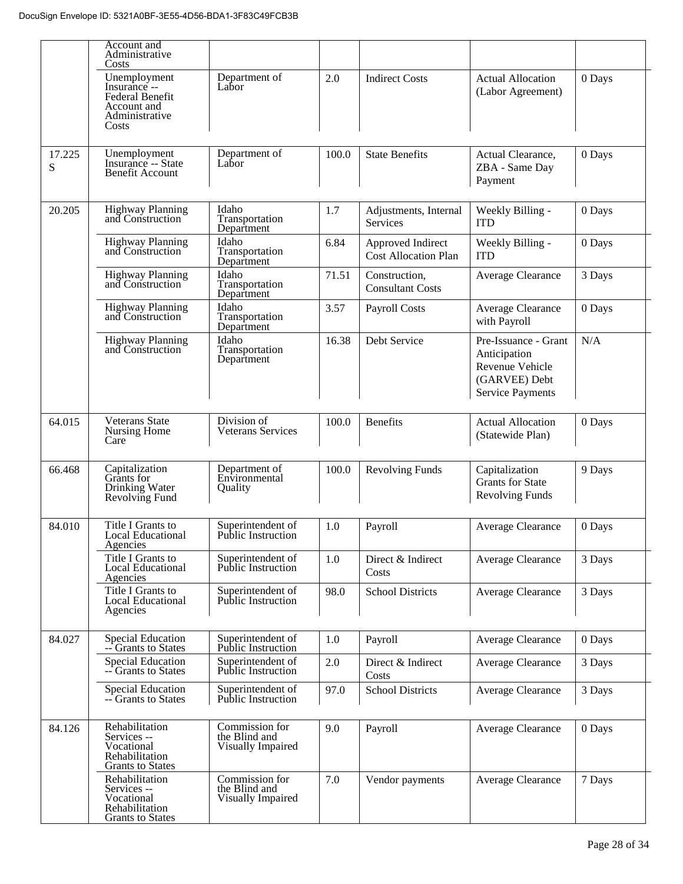|             | Account and<br>Administrative<br>Costs                                                    |                                                      |       |                                                  |                                                                                                     |        |
|-------------|-------------------------------------------------------------------------------------------|------------------------------------------------------|-------|--------------------------------------------------|-----------------------------------------------------------------------------------------------------|--------|
|             | Unemployment<br>Insurance --<br>Federal Benefit<br>Account and<br>Administrative<br>Costs | Department of<br>Labor                               | 2.0   | <b>Indirect Costs</b>                            | <b>Actual Allocation</b><br>(Labor Agreement)                                                       | 0 Days |
| 17.225<br>S | Unemployment<br>Insurance -- State<br>Benefit Account                                     | Department of<br>Labor                               | 100.0 | <b>State Benefits</b>                            | Actual Clearance,<br>ZBA - Same Day<br>Payment                                                      | 0 Days |
| 20.205      | <b>Highway Planning</b><br>and Construction                                               | Idaho<br>Transportation<br>Department                | 1.7   | Adjustments, Internal<br>Services                | Weekly Billing -<br><b>ITD</b>                                                                      | 0 Days |
|             | Highway Planning<br>and Construction                                                      | Idaho<br>Transportation<br>Department                | 6.84  | Approved Indirect<br><b>Cost Allocation Plan</b> | Weekly Billing -<br><b>ITD</b>                                                                      | 0 Days |
|             | <b>Highway Planning</b><br>and Construction                                               | Idaho<br>Transportation<br>Department                | 71.51 | Construction,<br><b>Consultant Costs</b>         | Average Clearance                                                                                   | 3 Days |
|             | Highway Planning<br>and Construction                                                      | Idaho<br>Transportation<br>Department                | 3.57  | <b>Payroll Costs</b>                             | Average Clearance<br>with Payroll                                                                   | 0 Days |
|             | <b>Highway Planning</b><br>and Construction                                               | Idaho<br>Transportation<br>Department                | 16.38 | Debt Service                                     | Pre-Issuance - Grant<br>Anticipation<br>Revenue Vehicle<br>(GARVEE) Debt<br><b>Service Payments</b> | N/A    |
| 64.015      | <b>Veterans State</b><br>Nursing Home<br>Care                                             | Division of<br>Veterans Services                     | 100.0 | <b>Benefits</b>                                  | <b>Actual Allocation</b><br>(Statewide Plan)                                                        | 0 Days |
| 66.468      | Capitalization<br>Grants for<br>Drinking Water<br>Revolving Fund                          | Department of<br>Environmental<br>Quality            | 100.0 | <b>Revolving Funds</b>                           | Capitalization<br><b>Grants</b> for State<br><b>Revolving Funds</b>                                 | 9 Days |
| 84.010      | Title I Grants to<br><b>Local Educational</b><br>Agencies                                 | Superintendent of<br><b>Public Instruction</b>       | 1.0   | Payroll                                          | Average Clearance                                                                                   | 0 Days |
|             | Title I Grants to<br><b>Local Educational</b><br>Agencies                                 | Superintendent of<br><b>Public Instruction</b>       | 1.0   | Direct & Indirect<br>Costs                       | Average Clearance                                                                                   | 3 Days |
|             | Title I Grants to<br><b>Local Educational</b><br>Agencies                                 | Superintendent of<br><b>Public Instruction</b>       | 98.0  | <b>School Districts</b>                          | Average Clearance                                                                                   | 3 Days |
| 84.027      | <b>Special Education</b><br>-- Grants to States                                           | Superintendent of<br><b>Public Instruction</b>       | 1.0   | Payroll                                          | Average Clearance                                                                                   | 0 Days |
|             | <b>Special Education</b><br>-- Grants to States                                           | Superintendent of<br>Public Instruction              | 2.0   | Direct & Indirect<br>Costs                       | Average Clearance                                                                                   | 3 Days |
|             | <b>Special Education</b><br>-- Grants to States                                           | Superintendent of<br><b>Public Instruction</b>       | 97.0  | <b>School Districts</b>                          | Average Clearance                                                                                   | 3 Days |
| 84.126      | Rehabilitation<br>Services --<br>Vocational<br>Rehabilitation<br><b>Grants</b> to States  | Commission for<br>the Blind and<br>Visually Impaired | 9.0   | Payroll                                          | Average Clearance                                                                                   | 0 Days |
|             | Rehabilitation<br>Services --<br>Vocational<br>Rehabilitation<br><b>Grants</b> to States  | Commission for<br>the Blind and<br>Visually Impaired | 7.0   | Vendor payments                                  | Average Clearance                                                                                   | 7 Days |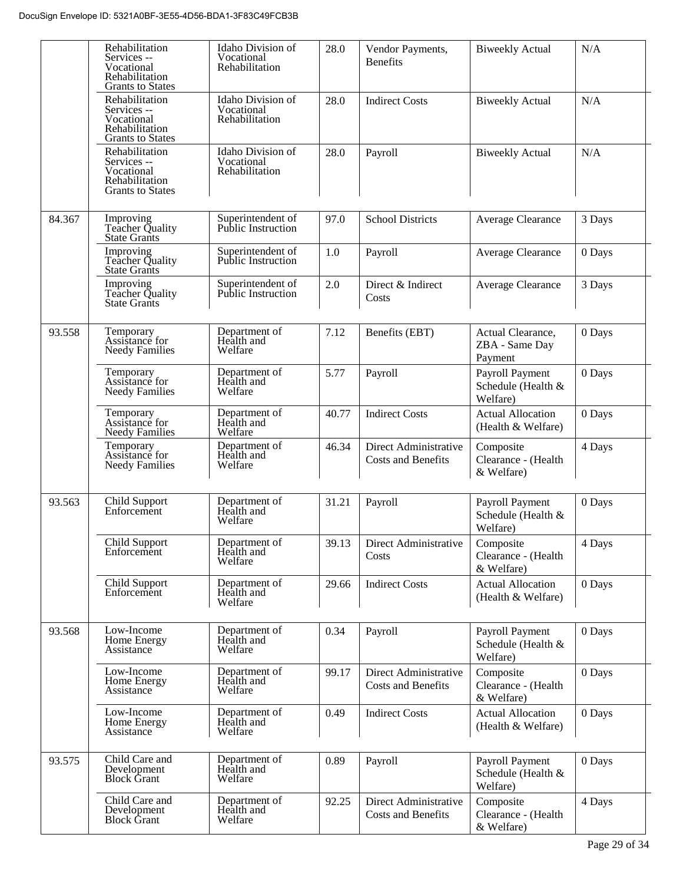|        | Rehabilitation<br>Services --<br>Vocational<br>Rehabilitation<br><b>Grants to States</b> | Idaho Division of<br>Vocational<br>Rehabilitation | 28.0  | Vendor Payments,<br><b>Benefits</b>                | <b>Biweekly Actual</b>                            | N/A    |
|--------|------------------------------------------------------------------------------------------|---------------------------------------------------|-------|----------------------------------------------------|---------------------------------------------------|--------|
|        | Rehabilitation<br>Services --<br>Vocational<br>Rehabilitation<br><b>Grants to States</b> | Idaho Division of<br>Vocational<br>Rehabilitation | 28.0  | <b>Indirect Costs</b>                              | <b>Biweekly Actual</b>                            | N/A    |
|        | Rehabilitation<br>Services --<br>Vocational<br>Rehabilitation<br><b>Grants to States</b> | Idaho Division of<br>Vocational<br>Rehabilitation | 28.0  | Payroll                                            | <b>Biweekly Actual</b>                            | N/A    |
| 84.367 | Improving<br>Teacher Quality<br><b>State Grants</b>                                      | Superintendent of<br><b>Public Instruction</b>    | 97.0  | <b>School Districts</b>                            | Average Clearance                                 | 3 Days |
|        | Improving<br>Teacher Quality<br>State Grants                                             | Superintendent of<br>Public Instruction           | 1.0   | Payroll                                            | Average Clearance                                 | 0 Days |
|        | Improving<br>Teacher Quality<br><b>State Grants</b>                                      | Superintendent of<br><b>Public Instruction</b>    | 2.0   | Direct & Indirect<br>Costs                         | Average Clearance                                 | 3 Days |
| 93.558 | Temporary<br>Assistance for<br><b>Needy Families</b>                                     | Department of<br>Health and<br>Welfare            | 7.12  | Benefits (EBT)                                     | Actual Clearance,<br>ZBA - Same Day<br>Payment    | 0 Days |
|        | Temporary<br>Assistance for<br><b>Needy Families</b>                                     | Department of<br>Health and<br>Welfare            | 5.77  | Payroll                                            | Payroll Payment<br>Schedule (Health &<br>Welfare) | 0 Days |
|        | Temporary<br>Assistance for<br><b>Needy Families</b>                                     | Department of<br>Health and<br>Welfare            | 40.77 | <b>Indirect Costs</b>                              | <b>Actual Allocation</b><br>(Health & Welfare)    | 0 Days |
|        | Temporary<br>Assistance for<br><b>Needy Families</b>                                     | Department of<br>Health and<br>Welfare            | 46.34 | Direct Administrative<br>Costs and Benefits        | Composite<br>Clearance - (Health<br>& Welfare)    | 4 Days |
| 93.563 | <b>Child Support</b><br>Enforcement                                                      | Department of<br>Health and<br>Welfare            | 31.21 | Payroll                                            | Payroll Payment<br>Schedule (Health &<br>Welfare) | 0 Days |
|        | Child Support<br>Enforcement                                                             | Department of<br>Health and<br>Welfare            | 39.13 | Direct Administrative<br>Costs                     | Composite<br>Clearance - (Health<br>& Welfare)    | 4 Days |
|        | Child Support<br>Enforcement                                                             | Department of<br>Health and<br>Welfare            | 29.66 | <b>Indirect Costs</b>                              | <b>Actual Allocation</b><br>(Health & Welfare)    | 0 Days |
| 93.568 | Low-Income<br>Home Energy<br>Assistance                                                  | Department of<br>Health and<br>Welfare            | 0.34  | Payroll                                            | Payroll Payment<br>Schedule (Health &<br>Welfare) | 0 Days |
|        | Low-Income<br>Home Energy<br>Assistance                                                  | Department of<br>Health and<br>Welfare            | 99.17 | Direct Administrative<br><b>Costs and Benefits</b> | Composite<br>Clearance - (Health<br>& Welfare)    | 0 Days |
|        | Low-Income<br>Home Energy<br>Assistance                                                  | Department of<br>Health and<br>Welfare            | 0.49  | <b>Indirect Costs</b>                              | <b>Actual Allocation</b><br>(Health & Welfare)    | 0 Days |
| 93.575 | Child Care and<br>Development<br><b>Block Grant</b>                                      | Department of<br>Health and<br>Welfare            | 0.89  | Payroll                                            | Payroll Payment<br>Schedule (Health &<br>Welfare) | 0 Days |
|        | Child Care and<br>Development<br><b>Block Grant</b>                                      | Department of<br>Health and<br>Welfare            | 92.25 | Direct Administrative<br>Costs and Benefits        | Composite<br>Clearance - (Health<br>& Welfare)    | 4 Days |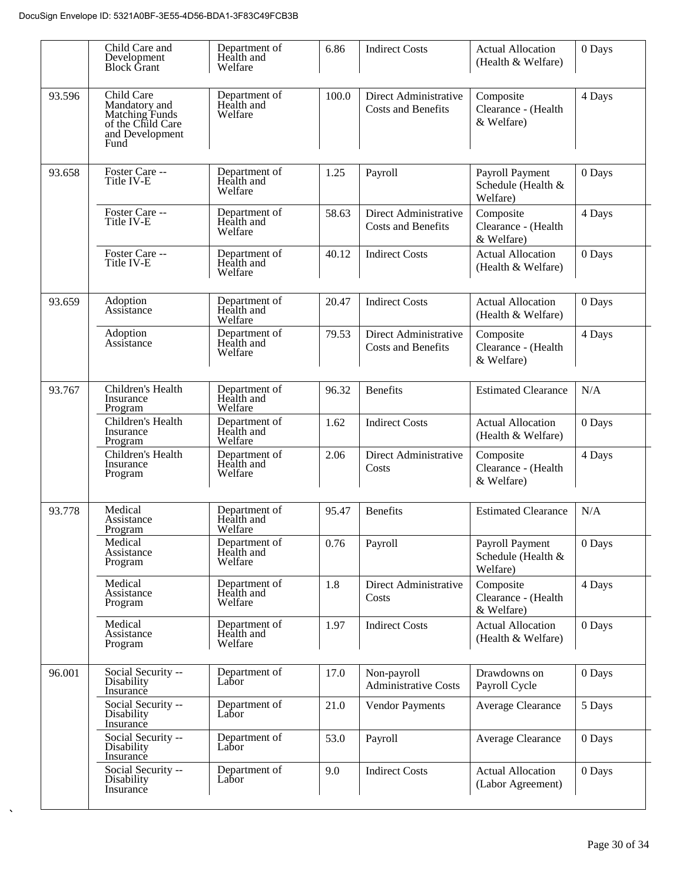|        | Child Care and<br>Development<br><b>Block Grant</b>                                           | Department of<br>Health and<br>Welfare | 6.86  | <b>Indirect Costs</b>                              | <b>Actual Allocation</b><br>(Health & Welfare)    | 0 Days |
|--------|-----------------------------------------------------------------------------------------------|----------------------------------------|-------|----------------------------------------------------|---------------------------------------------------|--------|
| 93.596 | Child Care<br>Mandatory and<br>Matching Funds<br>of the Child Care<br>and Development<br>Fund | Department of<br>Health and<br>Welfare | 100.0 | Direct Administrative<br><b>Costs and Benefits</b> | Composite<br>Clearance - (Health<br>& Welfare)    | 4 Days |
| 93.658 | Foster Care --<br>Title IV-E                                                                  | Department of<br>Health and<br>Welfare | 1.25  | Payroll                                            | Payroll Payment<br>Schedule (Health &<br>Welfare) | 0 Days |
|        | Foster Care --<br>Title IV-E                                                                  | Department of<br>Health and<br>Welfare | 58.63 | Direct Administrative<br><b>Costs and Benefits</b> | Composite<br>Clearance - (Health<br>& Welfare)    | 4 Days |
|        | Foster Care --<br>Title IV-E                                                                  | Department of<br>Health and<br>Welfare | 40.12 | <b>Indirect Costs</b>                              | <b>Actual Allocation</b><br>(Health & Welfare)    | 0 Days |
| 93.659 | Adoption<br>Assistance                                                                        | Department of<br>Health and<br>Welfare | 20.47 | <b>Indirect Costs</b>                              | <b>Actual Allocation</b><br>(Health & Welfare)    | 0 Days |
|        | Adoption<br>Assistance                                                                        | Department of<br>Health and<br>Welfare | 79.53 | Direct Administrative<br><b>Costs and Benefits</b> | Composite<br>Clearance - (Health<br>& Welfare)    | 4 Days |
| 93.767 | Children's Health<br>Insurance<br>Program                                                     | Department of<br>Health and<br>Welfare | 96.32 | <b>Benefits</b>                                    | <b>Estimated Clearance</b>                        | N/A    |
|        | Children's Health<br>Insurance<br>Program                                                     | Department of<br>Health and<br>Welfare | 1.62  | <b>Indirect Costs</b>                              | <b>Actual Allocation</b><br>(Health & Welfare)    | 0 Days |
|        | Children's Health<br>Insurance<br>Program                                                     | Department of<br>Health and<br>Welfare | 2.06  | Direct Administrative<br>Costs                     | Composite<br>Clearance - (Health<br>& Welfare)    | 4 Days |
| 93.778 | Medical<br>Assistance<br>Program                                                              | Department of<br>Health and<br>Welfare | 95.47 | <b>Benefits</b>                                    | <b>Estimated Clearance</b>                        | N/A    |
|        | Medical<br>Assistance<br>Program                                                              | Department of<br>Health and<br>Welfare | 0.76  | Payroll                                            | Payroll Payment<br>Schedule (Health &<br>Welfare) | 0 Days |
|        | Medical<br>Assistance<br>Program                                                              | Department of<br>Health and<br>Welfare | 1.8   | Direct Administrative<br>Costs                     | Composite<br>Clearance - (Health<br>& Welfare)    | 4 Days |
|        | Medical<br>Assistance<br>Program                                                              | Department of<br>Health and<br>Welfare | 1.97  | <b>Indirect Costs</b>                              | <b>Actual Allocation</b><br>(Health & Welfare)    | 0 Days |
| 96.001 | Social Security --<br>Disability<br>Insurance                                                 | Department of<br>Labor                 | 17.0  | Non-payroll<br><b>Administrative Costs</b>         | Drawdowns on<br>Payroll Cycle                     | 0 Days |
|        | Social Security --<br>Disability<br>Insurance                                                 | Department of<br>Labor                 | 21.0  | <b>Vendor Payments</b>                             | Average Clearance                                 | 5 Days |
|        | Social Security --<br>Disability<br>Insurance                                                 | Department of<br>Labor                 | 53.0  | Payroll                                            | Average Clearance                                 | 0 Days |
|        | Social Security --<br>Disability<br>Insurance                                                 | Department of<br>Labor                 | 9.0   | <b>Indirect Costs</b>                              | <b>Actual Allocation</b><br>(Labor Agreement)     | 0 Days |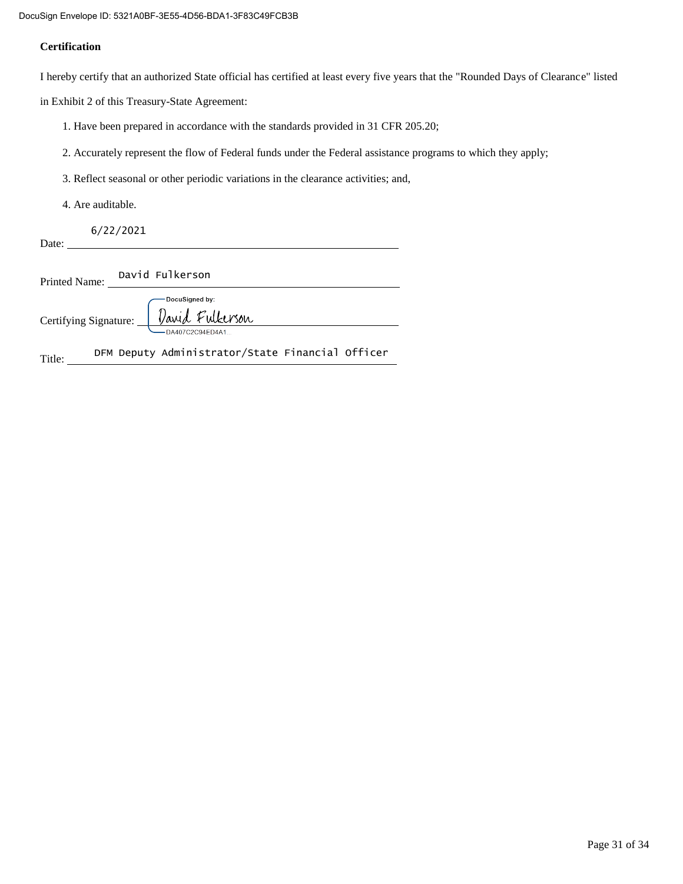#### **Certification**

I hereby certify that an authorized State official has certified at least every five years that the "Rounded Days of Clearance" listed

in Exhibit 2 of this Treasury-State Agreement:

- 1. Have been prepared in accordance with the standards provided in 31 CFR 205.20;
- 2. Accurately represent the flow of Federal funds under the Federal assistance programs to which they apply;
- 3. Reflect seasonal or other periodic variations in the clearance activities; and,
- 4. Are auditable.

6/22/2021

Date:

Printed Name: David Fulkerson

|                       | -DocuSigned by: |  |
|-----------------------|-----------------|--|
| Certifying Signature: | David Fulkerson |  |
|                       | DA407C2C94FD4A1 |  |

Title: DFM Deputy Administrator/State Financial Officer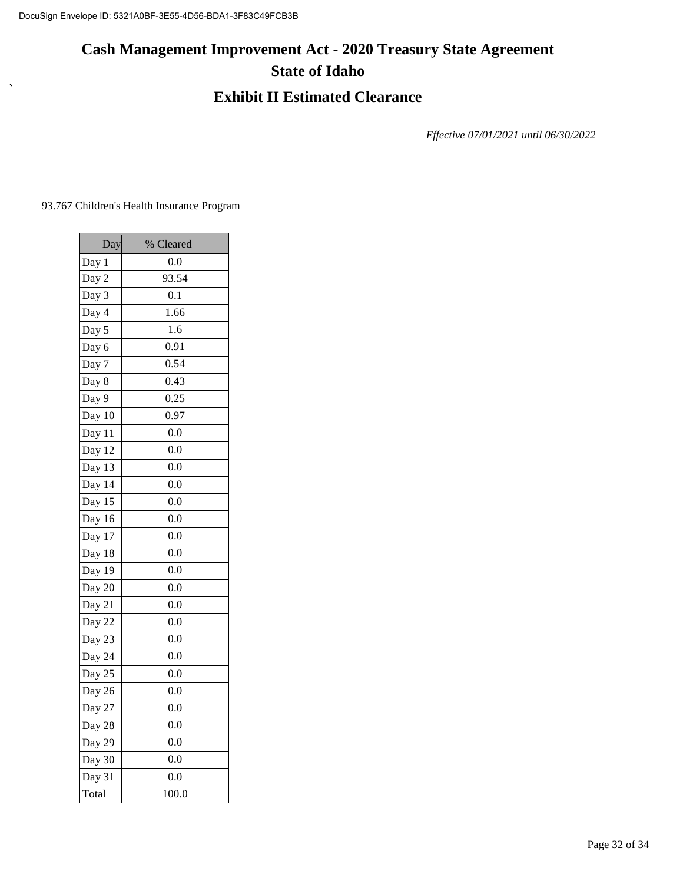# **Cash Management Improvement Act - 2020 Treasury State Agreement State of Idaho**

### **Exhibit II Estimated Clearance**

*Effective 07/01/2021 until 06/30/2022*

93.767 Children's Health Insurance Program

 $\bar{\mathbf{v}}$ 

| Day                           | % Cleared |
|-------------------------------|-----------|
| Day 1                         | 0.0       |
| Day 2                         | 93.54     |
| Day 3                         | 0.1       |
| Day 4                         | 1.66      |
| Day 5                         | 1.6       |
| Day 6                         | 0.91      |
| Day 7                         | 0.54      |
| Day 8                         | 0.43      |
| Day 9                         | 0.25      |
| Day 10                        | 0.97      |
| Day 11                        | 0.0       |
| Day 12                        | 0.0       |
| Day 13                        | 0.0       |
| Day 14                        | 0.0       |
| Day 15                        | 0.0       |
| Day 16                        | 0.0       |
| Day 17                        | 0.0       |
| Day 18                        | 0.0       |
| Day 19                        | 0.0       |
| $\frac{\overline{Day 20}}{2}$ | 0.0       |
| Day 21                        | 0.0       |
| Day 22                        | 0.0       |
| Day 23                        | 0.0       |
| Day 24                        | 0.0       |
| Day 25                        | 0.0       |
| Day 26                        | 0.0       |
| Day 27                        | 0.0       |
| Day 28                        | 0.0       |
| Day 29                        | 0.0       |
| Day 30                        | 0.0       |
| Day 31                        | 0.0       |
| Total                         | 100.0     |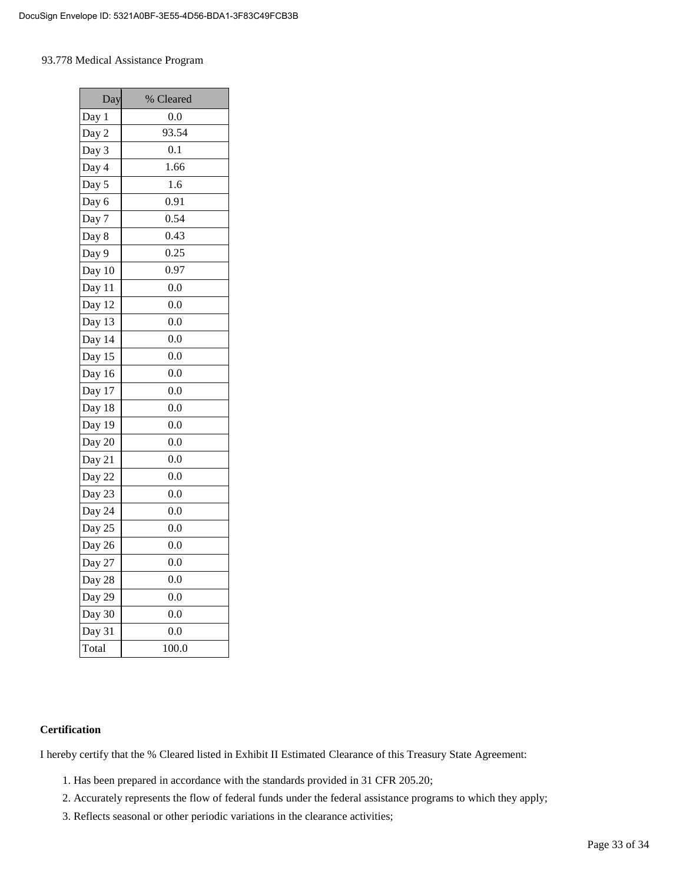#### 93.778 Medical Assistance Program

| Day    | % Cleared    |
|--------|--------------|
| Day 1  | 0.0          |
| Day 2  | 93.54        |
| Day 3  | 0.1          |
| Day 4  | 1.66         |
| Day 5  | 1.6          |
| Day 6  | 0.91         |
| Day 7  | 0.54         |
| Day 8  | 0.43         |
| Day 9  | 0.25         |
| Day 10 | 0.97         |
| Day 11 | 0.0          |
| Day 12 | 0.0          |
| Day 13 | $_{\rm 0.0}$ |
| Day 14 | 0.0          |
| Day 15 | 0.0          |
| Day 16 | 0.0          |
| Day 17 | 0.0          |
| Day 18 | 0.0          |
| Day 19 | 0.0          |
| Day 20 | 0.0          |
| Day 21 | 0.0          |
| Day 22 | 0.0          |
| Day 23 | 0.0          |
| Day 24 | 0.0          |
| Day 25 | 0.0          |
| Day 26 | 0.0          |
| Day 27 | 0.0          |
| Day 28 | 0.0          |
| Day 29 | 0.0          |
| Day 30 | 0.0          |
| Day 31 | 0.0          |
| Total  | 100.0        |

#### **Certification**

I hereby certify that the % Cleared listed in Exhibit II Estimated Clearance of this Treasury State Agreement:

- 1. Has been prepared in accordance with the standards provided in 31 CFR 205.20;
- 2. Accurately represents the flow of federal funds under the federal assistance programs to which they apply;
- 3. Reflects seasonal or other periodic variations in the clearance activities;